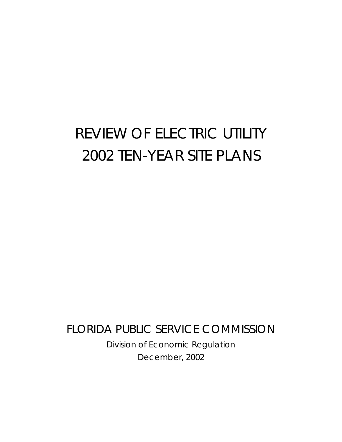# REVIEW OF ELECTRIC UTILITY 2002 TEN-YEAR SITE PLANS

FLORIDA PUBLIC SERVICE COMMISSION Division of Economic Regulation December, 2002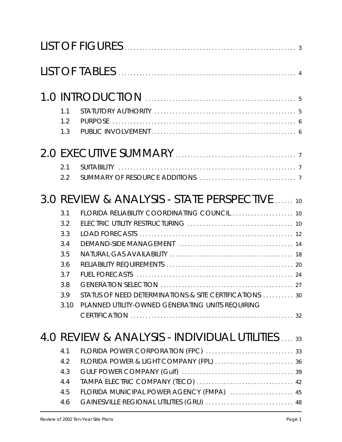| 1.1           |                                                         |  |
|---------------|---------------------------------------------------------|--|
| 1.2           |                                                         |  |
| 1.3           |                                                         |  |
|               |                                                         |  |
| 2.1           |                                                         |  |
| $2.2^{\circ}$ |                                                         |  |
|               | 3.0 REVIEW & ANALYSIS - STATE PERSPECTIVE 10            |  |
| 3.1           | FLORIDA RELIABILITY COORDINATING COUNCIL  10            |  |
| 3.2           |                                                         |  |
| 3.3           |                                                         |  |
| 3.4           |                                                         |  |
| 3.5           |                                                         |  |
| 3.6           |                                                         |  |
| 3.7           |                                                         |  |
| 3.8           |                                                         |  |
| 3.9           | STATUS OF NEED DETERMINATIONS & SITE CERTIFICATIONS  30 |  |
| 3.10          | PLANNED UTILITY-OWNED GENERATING UNITS REQUIRING        |  |
|               |                                                         |  |
|               | 4.0 REVIEW & ANALYSIS - INDIVIDUAL UTILITIES  33        |  |
| 4.1           |                                                         |  |
| 4.2           |                                                         |  |
| 4.3           |                                                         |  |
| 4.4           |                                                         |  |
| 4.5           | FLORIDA MUNICIPAL POWER AGENCY (FMPA)  45               |  |
| 4.6           | GAINESVILLE REGIONAL UTILITIES (GRU)  48                |  |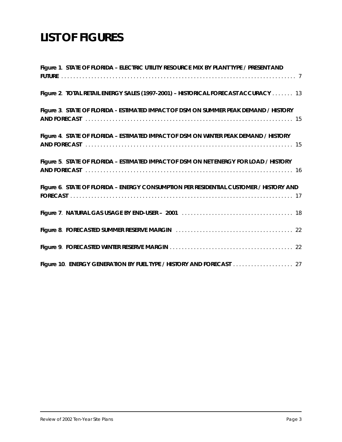# **LIST OF FIGURES**

| Figure 1. STATE OF FLORIDA - ELECTRIC UTILITY RESOURCE MIX BY PLANT TYPE / PRESENT AND |
|----------------------------------------------------------------------------------------|
| Figure 2. TOTAL RETAIL ENERGY SALES (1997-2001) - HISTORICAL FORECAST ACCURACY  13     |
| Figure 3. STATE OF FLORIDA - ESTIMATED IMPACT OF DSM ON SUMMER PEAK DEMAND / HISTORY   |
| Figure 4. STATE OF FLORIDA - ESTIMATED IMPACT OF DSM ON WINTER PEAK DEMAND / HISTORY   |
| Figure 5. STATE OF FLORIDA - ESTIMATED IMPACT OF DSM ON NET ENERGY FOR LOAD / HISTORY  |
| Figure 6. STATE OF FLORIDA - ENERGY CONSUMPTION PER RESIDENTIAL CUSTOMER / HISTORY AND |
|                                                                                        |
|                                                                                        |
|                                                                                        |
|                                                                                        |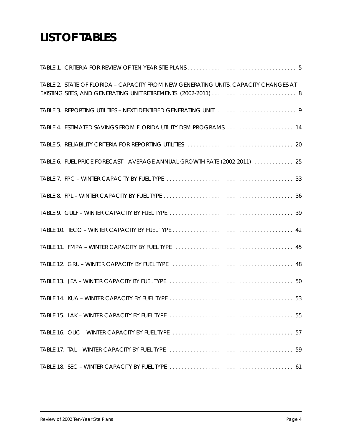# **LIST OF TABLES**

| TABLE 2. STATE OF FLORIDA - CAPACITY FROM NEW GENERATING UNITS, CAPACITY CHANGES AT<br>EXISTING SITES, AND GENERATING UNIT RETIREMENTS (2002-2011)  8 |
|-------------------------------------------------------------------------------------------------------------------------------------------------------|
|                                                                                                                                                       |
| TABLE 4. ESTIMATED SAVINGS FROM FLORIDA UTILITY DSM PROGRAMS  14                                                                                      |
|                                                                                                                                                       |
| TABLE 6. FUEL PRICE FORECAST - AVERAGE ANNUAL GROWTH RATE (2002-2011)  25                                                                             |
|                                                                                                                                                       |
|                                                                                                                                                       |
|                                                                                                                                                       |
|                                                                                                                                                       |
|                                                                                                                                                       |
|                                                                                                                                                       |
|                                                                                                                                                       |
|                                                                                                                                                       |
|                                                                                                                                                       |
|                                                                                                                                                       |
|                                                                                                                                                       |
|                                                                                                                                                       |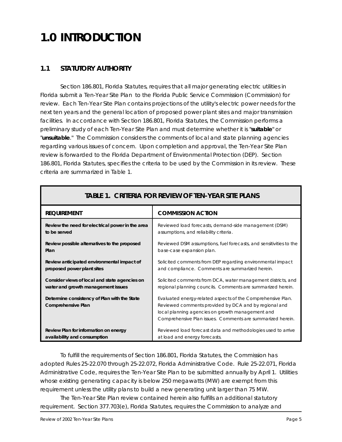# **1.0 INTRODUCTION**

# **1.1 STATUTORY AUTHORITY**

Section 186.801, Florida Statutes, requires that all major generating electric utilities in Florida submit a *Ten-Year Site Plan* to the Florida Public Service Commission (Commission) for review. Each *Ten-Year Site Plan* contains projections of the utility's electric power needs for the next ten years and the general location of proposed power plant sites and major transmission facilities. In accordance with Section 186.801, Florida Statutes, the Commission performs a preliminary study of each *Ten-Year Site Plan* and must determine whether it is "*suitable*" or "*unsuitable*." The Commission considers the comments of local and state planning agencies regarding various issues of concern. Upon completion and approval, the *Ten-Year Site Plan* review is forwarded to the Florida Department of Environmental Protection (DEP). Section 186.801, Florida Statutes, specifies the criteria to be used by the Commission in its review. These criteria are summarized in Table 1.

| <b>REQUIREMENT</b>                                                        | <b>COMMISSION ACTION</b>                                                                                                                                                                                                               |
|---------------------------------------------------------------------------|----------------------------------------------------------------------------------------------------------------------------------------------------------------------------------------------------------------------------------------|
| Review the need for electrical power in the area                          | Reviewed load forecasts, demand-side management (DSM)                                                                                                                                                                                  |
| to be served                                                              | assumptions, and reliability criteria.                                                                                                                                                                                                 |
| Review possible alternatives to the proposed                              | Reviewed DSM assumptions, fuel forecasts, and sensitivities to the                                                                                                                                                                     |
| Plan                                                                      | base-case expansion plan.                                                                                                                                                                                                              |
| Review anticipated environmental impact of                                | Solicited comments from DEP regarding environmental impact                                                                                                                                                                             |
| proposed power plant sites                                                | and compliance. Comments are summarized herein.                                                                                                                                                                                        |
| Consider views of local and state agencies on                             | Solicited comments from DCA, water management districts, and                                                                                                                                                                           |
| water and growth management issues                                        | regional planning councils. Comments are summarized herein.                                                                                                                                                                            |
| Determine consistency of Plan with the State<br><b>Comprehensive Plan</b> | Evaluated energy-related aspects of the Comprehensive Plan.<br>Reviewed comments provided by DCA and by regional and<br>local planning agencies on growth management and<br>Comprehensive Plan issues. Comments are summarized herein. |
| Review Plan for information on energy                                     | Reviewed load forecast data and methodologies used to arrive                                                                                                                                                                           |
| availability and consumption                                              | at load and energy forecasts.                                                                                                                                                                                                          |

# **TABLE 1.** *CRITERIA FOR REVIEW OF TEN-YEAR SITE PLANS*

To fulfill the requirements of Section 186.801, Florida Statutes, the Commission has adopted Rules 25-22.070 through 25-22.072, Florida Administrative Code. Rule 25-22.071, Florida Administrative Code, requires the *Ten-Year Site Plan* to be submitted annually by April 1. Utilities whose existing generating capacity is below 250 megawatts (MW) are exempt from this requirement unless the utility plans to build a new generating unit larger than 75 MW.

The *Ten-Year Site Plan* review contained herein also fulfills an additional statutory requirement. Section 377.703(e), Florida Statutes, requires the Commission to analyze and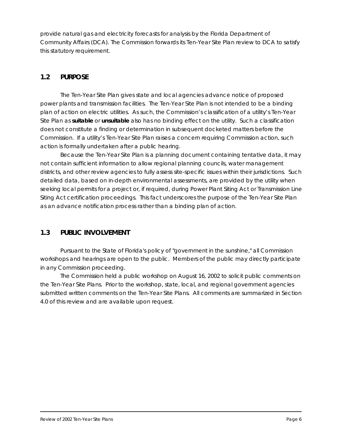provide natural gas and electricity forecasts for analysis by the Florida Department of Community Affairs (DCA). The Commission forwards its *Ten-Year Site Plan* review to DCA to satisfy this statutory requirement.

# **1.2 PURPOSE**

The *Ten-Year Site Plan* gives state and local agencies advance notice of proposed power plants and transmission facilities. The *Ten-Year Site Plan* is not intended to be a binding plan of action on electric utilities. As such, the Commission's classification of a utility's *Ten-Year Site Plan* as *suitable* or *unsuitable* also has no binding effect on the utility. Such a classification does not constitute a finding or determination in subsequent docketed matters before the Commission. If a utility's *Ten-Year Site Plan* raises a concern requiring Commission action, such action is formally undertaken after a public hearing.

Because the *Ten-Year Site Plan* is a planning document containing tentative data, it may not contain sufficient information to allow regional planning councils, water management districts, and other review agencies to fully assess site-specific issues within their jurisdictions. Such detailed data, based on in-depth environmental assessments, are provided by the utility when seeking local permits for a project or, if required, during Power Plant Siting Act or Transmission Line Siting Act certification proceedings. This fact underscores the purpose of the *Ten-Year Site Plan* as an advance notification process rather than a binding plan of action.

# **1.3 PUBLIC INVOLVEMENT**

Pursuant to the State of Florida's policy of "government in the sunshine," all Commission workshops and hearings are open to the public. Members of the public may directly participate in any Commission proceeding.

The Commission held a public workshop on August 16, 2002 to solicit public comments on the *Ten-Year Site Plans*. Prior to the workshop, state, local, and regional government agencies submitted written comments on the *Ten-Year Site Plans*. All comments are summarized in Section 4.0 of this review and are available upon request.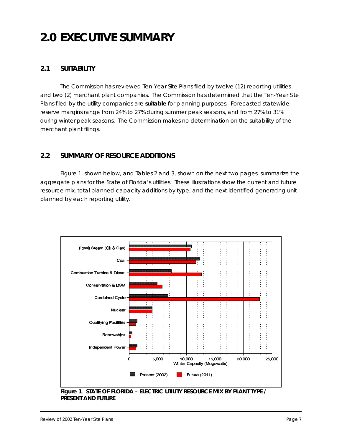# **2.0 EXECUTIVE SUMMARY**

# **2.1 SUITABILITY**

The Commission has reviewed *Ten-Year Site Plans* filed by twelve (12) reporting utilities and two (2) merchant plant companies. The Commission has determined that the *Ten-Year Site Plans* filed by the utility companies are *suitable* for planning purposes. Forecasted statewide reserve margins range from 24% to 27% during summer peak seasons, and from 27% to 31% during winter peak seasons. The Commission makes no determination on the suitability of the merchant plant filings.

# **2.2 SUMMARY OF RESOURCE ADDITIONS**

Figure 1, shown below, and Tables 2 and 3, shown on the next two pages, summarize the aggregate plans for the State of Florida's utilities. These illustrations show the current and future resource mix, total planned capacity additions by type, and the next identified generating unit planned by each reporting utility.



**Figure 1**. *STATE OF FLORIDA – ELECTRIC UTILITY RESOURCE MIX BY PLANT TYPE / PRESENT AND FUTURE*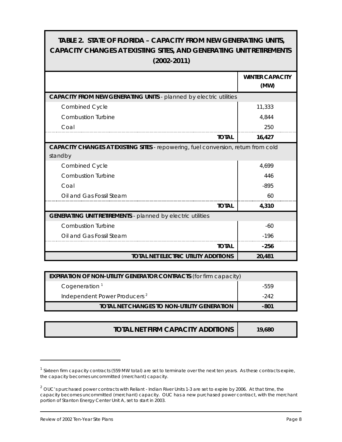# **TABLE 2.** *STATE OF FLORIDA – CAPACITY FROM NEW GENERATING UNITS, CAPACITY CHANGES AT EXISTING SITES, AND GENERATING UNIT RETIREMENTS (2002-2011)*

|                                                                                           | <b>WINTER CAPACITY</b> |
|-------------------------------------------------------------------------------------------|------------------------|
|                                                                                           | (MW)                   |
| <b>CAPACITY FROM NEW GENERATING UNITS - planned by electric utilities</b>                 |                        |
| <b>Combined Cycle</b>                                                                     | 11,333                 |
| <b>Combustion Turbine</b>                                                                 | 4,844                  |
| Coal                                                                                      | 250                    |
| <b>TOTAL</b>                                                                              | 16,427                 |
| <b>CAPACITY CHANGES AT EXISTING SITES - repowering, fuel conversion, return from cold</b> |                        |
| standby                                                                                   |                        |
| <b>Combined Cycle</b>                                                                     | 4,699                  |
| Combustion Turbine                                                                        | 446                    |
| Coal                                                                                      | $-895$                 |
| Oil and Gas Fossil Steam                                                                  | 60                     |
| <b>TOTAL</b>                                                                              | 4,310                  |
| <b>GENERATING UNIT RETIREMENTS - planned by electric utilities</b>                        |                        |
| <b>Combustion Turbine</b>                                                                 | $-60$                  |
| Oil and Gas Fossil Steam                                                                  | $-196$                 |
| <b>TOTAL</b>                                                                              | $-256$                 |
| <b>TOTAL NET ELECTRIC UTILITY ADDITIONS</b>                                               | 20,481                 |

| <b>EXPIRATION OF NON-UTILITY GENERATOR CONTRACTS (for firm capacity)</b> |      |  |  |
|--------------------------------------------------------------------------|------|--|--|
| Cogeneration <sup>1</sup>                                                | -559 |  |  |
| Independent Power Producers <sup>2</sup>                                 | -242 |  |  |
| TOTAL NET CHANGES TO NON-UTILITY GENERATION                              | -801 |  |  |

| <b>TOTAL NET FIRM CAPACITY ADDITIONS</b> | 19,680 |
|------------------------------------------|--------|
|                                          |        |

<sup>&</sup>lt;sup>1</sup> Sixteen firm capacity contracts (559 MW total) are set to terminate over the next ten years. As these contracts expire, the capacity becomes uncommitted (merchant) capacity.

 $^2$  OUC's purchased power contracts with Reliant - Indian River Units 1-3 are set to expire by 2006. At that time, the capacity becomes uncommitted (merchant) capacity. OUC has a new purchased power contract, with the merchant portion of Stanton Energy Center Unit A, set to start in 2003.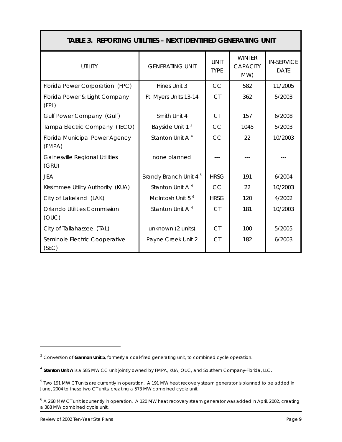| Table 3. <i>Reporting utilities – Next Identified Generating unit</i> |                                   |                            |                                         |                                  |  |  |
|-----------------------------------------------------------------------|-----------------------------------|----------------------------|-----------------------------------------|----------------------------------|--|--|
| <b>UTILITY</b>                                                        | <b>GENERATING UNIT</b>            | <b>UNIT</b><br><b>TYPE</b> | <b>WINTER</b><br><b>CAPACITY</b><br>MW) | <b>IN-SERVICE</b><br><b>DATE</b> |  |  |
| Florida Power Corporation (FPC)                                       | Hines Unit 3                      | CC                         | 582                                     | 11/2005                          |  |  |
| Florida Power & Light Company<br>(FPL)                                | Ft. Myers Units 13-14             | <b>CT</b>                  | 362                                     | 5/2003                           |  |  |
| Gulf Power Company (Gulf)                                             | Smith Unit 4                      | <b>CT</b>                  | 157                                     | 6/2008                           |  |  |
| Tampa Electric Company (TECO)                                         | Bayside Unit 1 <sup>3</sup>       | CC                         | 1045                                    | 5/2003                           |  |  |
| <b>Florida Municipal Power Agency</b><br>(FMPA)                       | Stanton Unit A <sup>4</sup>       | CC                         | 22                                      | 10/2003                          |  |  |
| <b>Gainesville Regional Utilities</b><br>(GRU)                        | none planned                      |                            |                                         |                                  |  |  |
| <b>JEA</b>                                                            | Brandy Branch Unit 4 <sup>5</sup> | <b>HRSG</b>                | 191                                     | 6/2004                           |  |  |
| Kissimmee Utility Authority (KUA)                                     | Stanton Unit A <sup>4</sup>       | CC.                        | 22                                      | 10/2003                          |  |  |
| City of Lakeland (LAK)                                                | McIntosh Unit 5 <sup>6</sup>      | <b>HRSG</b>                | 120                                     | 4/2002                           |  |  |
| <b>Orlando Utilities Commission</b><br>(OUC)                          | Stanton Unit A <sup>4</sup>       | <b>CT</b>                  | 181                                     | 10/2003                          |  |  |
| City of Tallahassee (TAL)                                             | unknown (2 units)                 | <b>CT</b>                  | 100                                     | 5/2005                           |  |  |
| Seminole Electric Cooperative<br>(SEC)                                | Payne Creek Unit 2                | C <sub>T</sub>             | 182                                     | 6/2003                           |  |  |

<sup>3</sup> Conversion of **Gannon Unit 5**, formerly a coal-fired generating unit, to combined cycle operation.

<sup>4</sup> **Stanton Unit A** is a 585 MW CC unit jointly owned by FMPA, KUA, OUC, and Southern Company-Florida, LLC.

 $^5$  Two 191 MW CT units are currently in operation. A 191 MW heat recovery steam generator is planned to be added in June, 2004 to these two CT units, creating a 573 MW combined cycle unit.

 $6$  A 268 MW CT unit is currently in operation. A 120 MW heat recovery steam generator was added in April, 2002, creating a 388 MW combined cycle unit.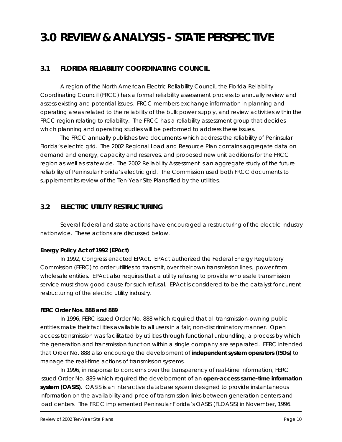# **3.0 REVIEW & ANALYSIS - STATE PERSPECTIVE**

# **3.1 FLORIDA RELIABILITY COORDINATING COUNCIL**

A region of the North American Electric Reliability Council, the Florida Reliability Coordinating Council (FRCC) has a formal reliability assessment process to annually review and assess existing and potential issues. FRCC members exchange information in planning and operating areas related to the reliability of the bulk power supply, and review activities within the FRCC region relating to reliability. The FRCC has a reliability assessment group that decides which planning and operating studies will be performed to address these issues.

The FRCC annually publishes two documents which address the reliability of Peninsular Florida's electric grid. The *2002 Regional Load and Resource Plan* contains aggregate data on demand and energy, capacity and reserves, and proposed new unit additions for the FRCC region as well as statewide. The *2002 Reliability Assessment* is an aggregate study of the future reliability of Peninsular Florida's electric grid. The Commission used both FRCC documents to supplement its review of the *Ten-Year Site Plans* filed by the utilities.

# **3.2 ELECTRIC UTILITY RESTRUCTURING**

Several federal and state actions have encouraged a restructuring of the electric industry nationwide. These actions are discussed below.

#### *Energy Policy Act of 1992 (EPAct)*

In 1992, Congress enacted EPAct. EPAct authorized the Federal Energy Regulatory Commission (FERC) to order utilities to transmit, over their own transmission lines, power from wholesale entities. EPAct also requires that a utility refusing to provide wholesale transmission service must show good cause for such refusal. EPAct is considered to be the catalyst for current restructuring of the electric utility industry.

#### *FERC Order Nos. 888 and 889*

In 1996, FERC issued Order No. 888 which required that all transmission-owning public entities make their facilities available to all users in a fair, non-discriminatory manner. Open access transmission was facilitated by utilities through functional unbundling, a process by which the generation and transmission function within a single company are separated. FERC intended that Order No. 888 also encourage the development of *independent system operators (ISOs)* to manage the real-time actions of transmission systems.

In 1996, in response to concerns over the transparency of real-time information, FERC issued Order No. 889 which required the development of an *open-access same-time information system (OASIS)*. OASIS is an interactive database system designed to provide instantaneous information on the availability and price of transmission links between generation centers and load centers. The FRCC implemented Peninsular Florida's OASIS (FLOASIS) in November, 1996.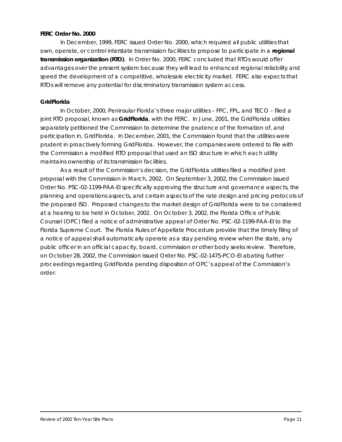#### *FERC Order No. 2000*

In December, 1999, FERC issued Order No. 2000, which required all public utilities that own, operate, or control interstate transmission facilities to propose to participate in a *regional transmission organization (RTO)*. In Order No. 2000, FERC concluded that RTOs would offer advantages over the present system because they will lead to enhanced regional reliability and speed the development of a competitive, wholesale electricity market. FERC also expects that RTOs will remove any potential for discriminatory transmission system access.

#### *GridFlorida*

In October, 2000, Peninsular Florida's three major utilities – FPC, FPL, and TECO – filed a joint RTO proposal, known as *GridFlorida*, with the FERC. In June, 2001, the GridFlorida utilities separately petitioned the Commission to determine the prudence of the formation of, and participation in, GridFlorida. In December, 2001, the Commission found that the utilities were prudent in proactively forming GridFlorida. However, the companies were ordered to file with the Commission a modified RTO proposal that used an ISO structure in which each utility maintains ownership of its transmission facilities.

As a result of the Commission's decision, the GridFlorida utilities filed a modified joint proposal with the Commission in March, 2002. On September 3, 2002, the Commission issued Order No. PSC-02-1199-PAA-EI specifically approving the structure and governance aspects, the planning and operations aspects, and certain aspects of the rate design and pricing protocols of the proposed ISO. Proposed changes to the market design of GridFlorida were to be considered at a hearing to be held in October, 2002. On October 3, 2002, the Florida Office of Public Counsel (OPC) filed a notice of administrative appeal of Order No. PSC-02-1199-PAA-EI to the Florida Supreme Court. The Florida Rules of Appellate Procedure provide that the timely filing of a notice of appeal shall automatically operate as a stay pending review when the state, any public officer in an official capacity, board, commission or other body seeks review. Therefore, on October 28, 2002, the Commission issued Order No. PSC-02-1475-PCO-EI abating further proceedings regarding GridFlorida pending disposition of OPC's appeal of the Commission's order.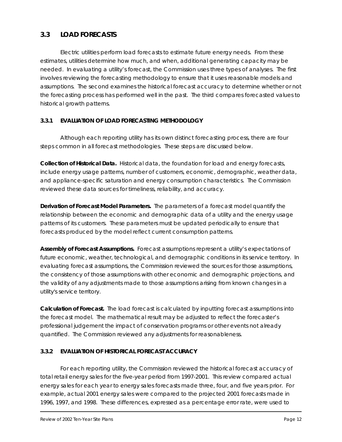# **3.3 LOAD FORECASTS**

Electric utilities perform load forecasts to estimate future energy needs. From these estimates, utilities determine how much, and when, additional generating capacity may be needed. In evaluating a utility's forecast, the Commission uses three types of analyses. The first involves reviewing the forecasting methodology to ensure that it uses reasonable models and assumptions. The second examines the historical forecast accuracy to determine whether or not the forecasting process has performed well in the past. The third compares forecasted values to historical growth patterns.

#### *3.3.1 EVALUATION OF LOAD FORECASTING METHODOLOGY*

Although each reporting utility has its own distinct forecasting process, there are four steps common in all forecast methodologies. These steps are discussed below.

*Collection of Historical Data.* Historical data, the foundation for load and energy forecasts, include energy usage patterns, number of customers, economic, demographic, weather data, and appliance-specific saturation and energy consumption characteristics. The Commission reviewed these data sources for timeliness, reliability, and accuracy.

*Derivation of Forecast Model Parameters.* The parameters of a forecast model quantify the relationship between the economic and demographic data of a utility and the energy usage patterns of its customers. These parameters must be updated periodically to ensure that forecasts produced by the model reflect current consumption patterns.

*Assembly of Forecast Assumptions.* Forecast assumptions represent a utility's expectations of future economic, weather, technological, and demographic conditions in its service territory. In evaluating forecast assumptions, the Commission reviewed the sources for those assumptions, the consistency of those assumptions with other economic and demographic projections, and the validity of any adjustments made to those assumptions arising from known changes in a utility's service territory.

*Calculation of Forecast.* The load forecast is calculated by inputting forecast assumptions into the forecast model. The mathematical result may be adjusted to reflect the forecaster's professional judgement the impact of conservation programs or other events not already quantified. The Commission reviewed any adjustments for reasonableness.

#### *3.3.2 EVALUATION OF HISTORICAL FORECAST ACCURACY*

For each reporting utility, the Commission reviewed the historical forecast accuracy of total retail energy sales for the five-year period from 1997-2001. This review compared actual energy sales for each year to energy sales forecasts made three, four, and five years prior. For example, actual 2001 energy sales were compared to the projected 2001 forecasts made in 1996, 1997, and 1998. These differences, expressed as a percentage error rate, were used to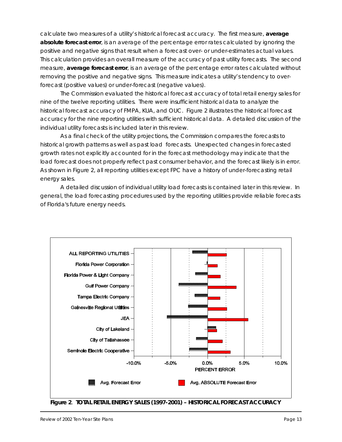calculate two measures of a utility's historical forecast accuracy. The first measure, *average absolute forecast error*, is an average of the percentage error rates calculated by ignoring the positive and negative signs that result when a forecast over- or under-estimates actual values. This calculation provides an overall measure of the accuracy of past utility forecasts. The second measure, *average forecast error*, is an average of the percentage error rates calculated without removing the positive and negative signs. This measure indicates a utility's tendency to overforecast (positive values) or under-forecast (negative values).

The Commission evaluated the historical forecast accuracy of total retail energy sales for nine of the twelve reporting utilities. There were insufficient historical data to analyze the historical forecast accuracy of FMPA, KUA, and OUC. Figure 2 illustrates the historical forecast accuracy for the nine reporting utilities with sufficient historical data. A detailed discussion of the individual utility forecasts is included later in this review.

As a final check of the utility projections, the Commission compares the forecasts to historical growth patterns as well as past load forecasts. Unexpected changes in forecasted growth rates not explicitly accounted for in the forecast methodology may indicate that the load forecast does not properly reflect past consumer behavior, and the forecast likely is in error. As shown in Figure 2, all reporting utilities except FPC have a history of under-forecasting retail energy sales.

A detailed discussion of individual utility load forecasts is contained later in this review. In general, the load forecasting procedures used by the reporting utilities provide reliable forecasts of Florida's future energy needs.



**Figure 2**. *TOTAL RETAIL ENERGY SALES (1997-2001) – HISTORICAL FORECAST ACCURACY*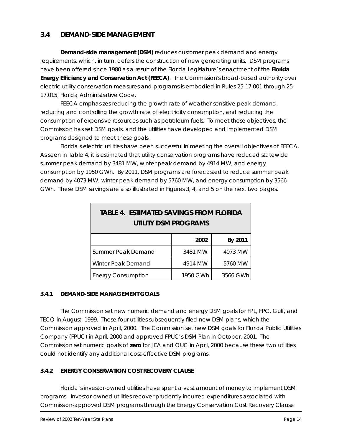# **3.4 DEMAND-SIDE MANAGEMENT**

*Demand-side management (DSM)* reduces customer peak demand and energy requirements, which, in turn, defers the construction of new generating units. DSM programs have been offered since 1980 as a result of the Florida Legislature's enactment of the **Florida Energy Efficiency and Conservation Act (FEECA)**. The Commission's broad-based authority over electric utility conservation measures and programs is embodied in Rules 25-17.001 through 25- 17.015, Florida Administrative Code.

FEECA emphasizes reducing the growth rate of weather-sensitive peak demand, reducing and controlling the growth rate of electricity consumption, and reducing the consumption of expensive resources such as petroleum fuels. To meet these objectives, the Commission has set DSM goals, and the utilities have developed and implemented DSM programs designed to meet these goals.

Florida's electric utilities have been successful in meeting the overall objectives of FEECA. As seen in Table 4, it is estimated that utility conservation programs have reduced statewide summer peak demand by 3481 MW, winter peak demand by 4914 MW, and energy consumption by 1950 GWh. By 2011, DSM programs are forecasted to reduce summer peak demand by 4073 MW, winter peak demand by 5760 MW, and energy consumption by 3566 GWh. These DSM savings are also illustrated in Figures 3, 4, and 5 on the next two pages.

| <b>TABLE 4. ESTIMATED SAVINGS FROM FLORIDA</b><br><b>UTILITY DSM PROGRAMS</b> |          |          |  |  |
|-------------------------------------------------------------------------------|----------|----------|--|--|
|                                                                               | 2002     | By 2011  |  |  |
| Summer Peak Demand                                                            | 3481 MW  | 4073 MW  |  |  |
| Winter Peak Demand                                                            | 4914 MW  | 5760 MW  |  |  |
| <b>Energy Consumption</b>                                                     | 1950 GWh | 3566 GWh |  |  |

#### *3.4.1 DEMAND-SIDE MANAGEMENT GOALS*

The Commission set new numeric demand and energy DSM goals for FPL, FPC, Gulf, and TECO in August, 1999. These four utilities subsequently filed new DSM plans, which the Commission approved in April, 2000. The Commission set new DSM goals for Florida Public Utilities Company (FPUC) in April, 2000 and approved FPUC's DSM Plan in October, 2001. The Commission set numeric goals of **zero** for JEA and OUC in April, 2000 because these two utilities could not identify any additional cost-effective DSM programs.

#### *3.4.2 ENERGY CONSERVATION COST RECOVERY CLAUSE*

Florida's investor-owned utilities have spent a vast amount of money to implement DSM programs. Investor-owned utilities recover prudently incurred expenditures associated with Commission-approved DSM programs through the Energy Conservation Cost Recovery Clause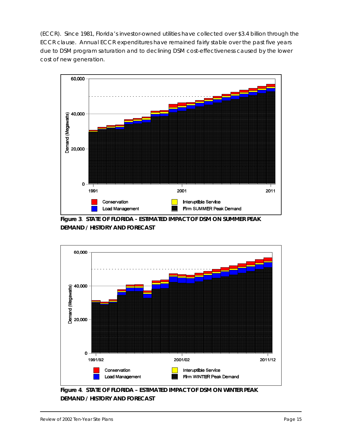(ECCR). Since 1981, Florida's investor-owned utilities have collected over \$3.4 billion through the ECCR clause. Annual ECCR expenditures have remained fairly stable over the past five years due to DSM program saturation and to declining DSM cost-effectiveness caused by the lower cost of new generation.



**Figure 3**. *STATE OF FLORIDA - ESTIMATED IMPACT OF DSM ON SUMMER PEAK DEMAND / HISTORY AND FORECAST*



**Figure 4**. *STATE OF FLORIDA – ESTIMATED IMPACT OF DSM ON WINTER PEAK DEMAND / HISTORY AND FORECAST*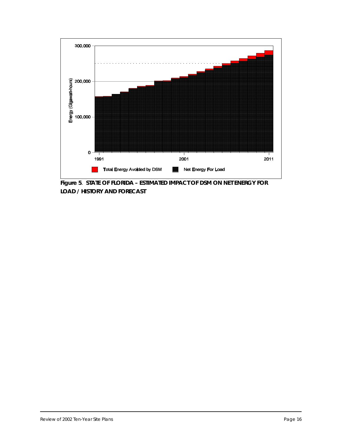

**Figure 5**. *STATE OF FLORIDA – ESTIMATED IMPACT OF DSM ON NET ENERGY FOR LOAD / HISTORY AND FORECAST*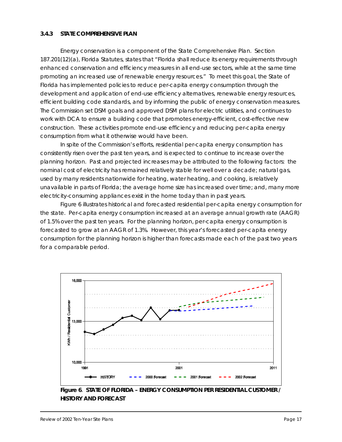#### *3.4.3 STATE COMPREHENSIVE PLAN*

Energy conservation is a component of the State Comprehensive Plan. Section 187.201(12)(a), Florida Statutes, states that "*Florida shall reduce its energy requirements through enhanced conservation and efficiency measures in all end-use sectors, while at the same time promoting an increased use of renewable energy resources."* To meet this goal, the State of Florida has implemented policies to reduce per-capita energy consumption through the development and application of end-use efficiency alternatives, renewable energy resources, efficient building code standards, and by informing the public of energy conservation measures. The Commission set DSM goals and approved DSM plans for electric utilities, and continues to work with DCA to ensure a building code that promotes energy-efficient, cost-effective new construction. These activities promote end-use efficiency and reducing per-capita energy consumption from what it otherwise would have been.

In spite of the Commission's efforts, residential per-capita energy consumption has consistently risen over the past ten years, and is expected to continue to increase over the planning horizon. Past and projected increases may be attributed to the following factors: the nominal cost of electricity has remained relatively stable for well over a decade; natural gas, used by many residents nationwide for heating, water heating, and cooking, is relatively unavailable in parts of Florida; the average home size has increased over time; and, many more electricity-consuming appliances exist in the home today than in past years.

Figure 6 illustrates historical and forecasted residential per-capita energy consumption for the state. Per-capita energy consumption increased at an average annual growth rate (AAGR) of 1.5% over the past ten years. For the planning horizon, per-capita energy consumption is forecasted to grow at an AAGR of 1.3%. However, this year's forecasted per-capita energy consumption for the planning horizon is higher than forecasts made each of the past two years for a comparable period.



**Figure 6**. *STATE OF FLORIDA – ENERGY CONSUMPTION PER RESIDENTIAL CUSTOMER / HISTORY AND FORECAST*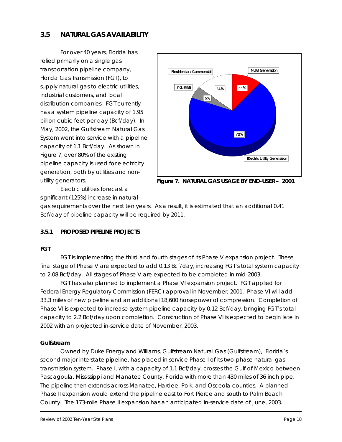# **3.5 NATURAL GAS AVAILABILITY**

For over 40 years, Florida has relied primarily on a single gas transportation pipeline company, Florida Gas Transmission (FGT), to supply natural gas to electric utilities, industrial customers, and local distribution companies. FGT currently has a system pipeline capacity of 1.95 billion cubic feet per day (Bcf/day). In May, 2002, the Gulfstream Natural Gas System went into service with a pipeline capacity of 1.1 Bcf/day. As shown in Figure 7, over 80% of the existing pipeline capacity is used for electricity generation, both by utilities and nonutility generators.



**Figure 7**. *NATURAL GAS USAGE BY END-USER – 2001*

Electric utilities forecast a

significant (125%) increase in natural

gas requirements over the next ten years. As a result, it is estimated that an additional 0.41 Bcf/day of pipeline capacity will be required by 2011.

# *3.5.1 PROPOSED PIPELINE PROJECTS*

#### *FGT*

FGT is implementing the third and fourth stages of its Phase V expansion project. These final stage of Phase V are expected to add 0.13 Bcf/day, increasing FGT's total system capacity to 2.08 Bcf/day. All stages of Phase V are expected to be completed in mid-2003.

FGT has also planned to implement a Phase VI expansion project. FGT applied for Federal Energy Regulatory Commission (FERC) approval in November, 2001. Phase VI will add 33.3 miles of new pipeline and an additional 18,600 horsepower of compression. Completion of Phase VI is expected to increase system pipeline capacity by 0.12 Bcf/day, bringing FGT's total capacity to 2.2 Bcf/day upon completion. Construction of Phase VI is expected to begin late in 2002 with an projected in-service date of November, 2003.

#### *Gulfstream*

Owned by Duke Energy and Williams, Gulfstream Natural Gas (Gulfstream), Florida's second major interstate pipeline, has placed in service Phase I of its two-phase natural gas transmission system. Phase I, with a capacity of 1.1 Bcf/day, crosses the Gulf of Mexico between Pascagoula, Mississippi and Manatee County, Florida with more than 430 miles of 36 inch pipe. The pipeline then extends across Manatee, Hardee, Polk, and Osceola counties. A planned Phase II expansion would extend the pipeline east to Fort Pierce and south to Palm Beach County. The 173-mile Phase II expansion has an anticipated in-service date of June, 2003.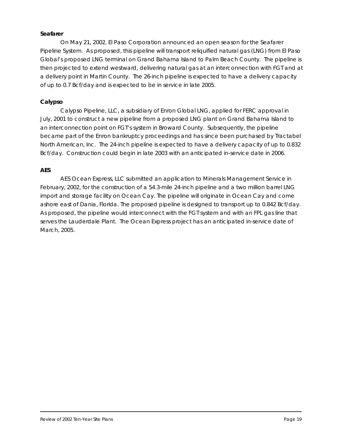#### *Seafarer*

On May 21, 2002, El Paso Corporation announced an open season for the Seafarer Pipeline System. As proposed, this pipeline will transport reliquified natural gas (LNG) from El Paso Global's proposed LNG terminal on Grand Bahama Island to Palm Beach County. The pipeline is then projected to extend westward, delivering natural gas at an interconnection with FGT and at a delivery point in Martin County. The 26-inch pipeline is expected to have a delivery capacity of up to 0.7 Bcf/day and is expected to be in service in late 2005.

#### *Calypso*

Calypso Pipeline, LLC, a subsidiary of Enron Global LNG, applied for FERC approval in July, 2001 to construct a new pipeline from a proposed LNG plant on Grand Bahama Island to an interconnection point on FGT's system in Broward County. Subsequently, the pipeline became part of the Enron bankruptcy proceedings and has since been purchased by Tractabel North American, Inc. The 24-inch pipeline is expected to have a delivery capacity of up to 0.832 Bcf/day. Construction could begin in late 2003 with an anticipated in-service date in 2006.

#### *AES*

AES Ocean Express, LLC submitted an application to Minerals Management Service in February, 2002, for the construction of a 54.3-mile 24-inch pipeline and a two million barrel LNG import and storage facility on Ocean Cay. The pipeline will originate in Ocean Cay and come ashore east of Dania, Florida. The proposed pipeline is designed to transport up to 0.842 Bcf/day. As proposed, the pipeline would interconnect with the FGT system and with an FPL gas line that serves the Lauderdale Plant. The Ocean Express project has an anticipated in-service date of March, 2005.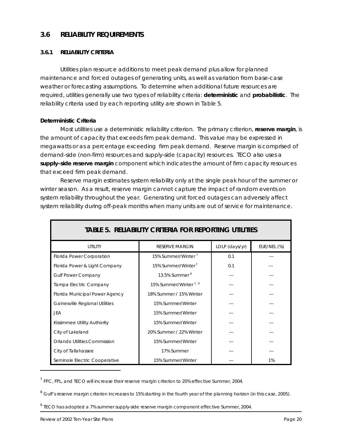#### **3.6 RELIABILITY REQUIREMENTS**

#### *3.6.1 RELIABILITY CRITERIA*

Utilities plan resource additions to meet peak demand plus allow for planned maintenance and forced outages of generating units, as well as variation from base-case weather or forecasting assumptions. To determine when additional future resources are required, utilities generally use two types of reliability criteria: *deterministic* and *probabilistic*. The reliability criteria used by each reporting utility are shown in Table 5.

#### *Deterministic Criteria*

Most utilities use a deterministic reliability criterion. The primary criterion, *reserve margin*, is the amount of capacity that exceeds firm peak demand. This value may be expressed in megawatts or as a percentage exceeding firm peak demand. Reserve margin is comprised of demand-side (non-firm) resources and supply-side (capacity) resources. TECO also uses a *supply-side reserve margin* component which indicates the amount of firm capacity resources that exceed firm peak demand.

Reserve margin estimates system reliability only at the single peak hour of the summer or winter season. As a result, reserve margin cannot capture the impact of random events on system reliability throughout the year. Generating unit forced outages can adversely affect system reliability during off-peak months when many units are out of service for maintenance.

| <b>UTILITY</b>                        | <b>RESERVE MARGIN</b>             | LOLP (days/yr) | EUE/NEL (%) |
|---------------------------------------|-----------------------------------|----------------|-------------|
| Florida Power Corporation             | 15% Summer/Winter <sup>7</sup>    | 0.1            |             |
| Florida Power & Light Company         | 15% Summer/Winter <sup>7</sup>    | 0.1            |             |
| <b>Gulf Power Company</b>             | 13.5% Summer $8$                  |                |             |
| Tampa Electric Company                | 15% Summer/Winter <sup>7, 9</sup> |                |             |
| Florida Municipal Power Agency        | 18% Summer / 15% Winter           |                |             |
| <b>Gainesville Regional Utilities</b> | 15% Summer/Winter                 |                |             |
| JEA                                   | 15% Summer/Winter                 |                |             |
| Kissimmee Utility Authority           | 15% Summer/Winter                 |                |             |
| City of Lakeland                      | 20% Summer / 22% Winter           |                |             |
| <b>Orlando Utilities Commission</b>   | 15% Summer/Winter                 |                |             |
| City of Tallahassee                   | 17% Summer                        |                |             |
| Seminole Electric Cooperative         | 15% Summer/Winter                 |                | 1%          |

# **TABLE 5.** *RELIABILITY CRITERIA FOR REPORTING UTILITIES*

 $<sup>7</sup>$  FPC, FPL, and TECO will increase their reserve margin criterion to 20% effective Summer, 2004.</sup>

<sup>8</sup> Gulf's reserve margin criterion increases to 15% starting in the fourth year of the planning horizon (in this case, 2005).

 $^9$  TECO has adopted a 7% summer supply-side reserve margin component effective Summer, 2004.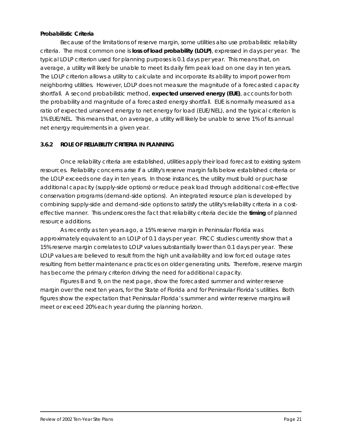#### *Probabilistic Criteria*

Because of the limitations of reserve margin, some utilities also use probabilistic reliability criteria. The most common one is *loss of load probability (LOLP)*, expressed in days per year. The typical LOLP criterion used for planning purposes is 0.1 days per year. This means that, on average, a utility will likely be unable to meet its daily firm peak load on one day in ten years. The LOLP criterion allows a utility to calculate and incorporate its ability to import power from neighboring utilities. However, LOLP does not measure the magnitude of a forecasted capacity shortfall. A second probabilistic method, *expected unserved energy (EUE)*, accounts for both the probability *and* magnitude of a forecasted energy shortfall. EUE is normally measured as a ratio of expected unserved energy to net energy for load (EUE/NEL), and the typical criterion is 1% EUE/NEL. This means that, on average, a utility will likely be unable to serve 1% of its annual net energy requirements in a given year.

#### *3.6.2 ROLE OF RELIABILITY CRITERIA IN PLANNING*

Once reliability criteria are established, utilities apply their load forecast to existing system resources. Reliability concerns arise if a utility's reserve margin falls below established criteria or the LOLP exceeds one day in ten years. In those instances, the utility must build or purchase additional capacity (supply-side options) or reduce peak load through additional cost-effective conservation programs (demand-side options). An integrated resource plan is developed by combining supply-side and demand-side options to satisfy the utility's reliability criteria in a costeffective manner. This underscores the fact that reliability criteria decide the **timing** of planned resource additions.

As recently as ten years ago, a 15% reserve margin in Peninsular Florida was approximately equivalent to an LOLP of 0.1 days per year. FRCC studies currently show that a 15% reserve margin correlates to LOLP values substantially lower than 0.1 days per year. These LOLP values are believed to result from the high unit availability and low forced outage rates resulting from better maintenance practices on older generating units. Therefore, reserve margin has become the primary criterion driving the need for additional capacity.

Figures 8 and 9, on the next page, show the forecasted summer and winter reserve margin over the next ten years, for the State of Florida and for Peninsular Florida's utilities. Both figures show the expectation that Peninsular Florida's summer and winter reserve margins will meet or exceed 20% each year during the planning horizon.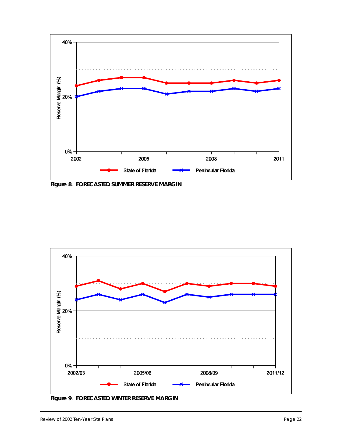

**Figure 8**. *FORECASTED SUMMER RESERVE MARGIN*



**Figure 9**. *FORECASTED WINTER RESERVE MARGIN*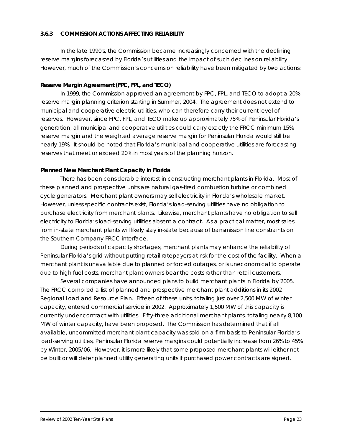#### *3.6.3 COMMISSION ACTIONS AFFECTING RELIABILITY*

In the late 1990's, the Commission became increasingly concerned with the declining reserve margins forecasted by Florida's utilities and the impact of such declines on reliability. However, much of the Commission's concerns on reliability have been mitigated by two actions:

#### *Reserve Margin Agreement (FPC, FPL, and TECO)*

In 1999, the Commission approved an agreement by FPC, FPL, and TECO to adopt a 20% reserve margin planning criterion starting in Summer, 2004. The agreement does not extend to municipal and cooperative electric utilities, who can therefore carry their current level of reserves. However, since FPC, FPL, and TECO make up approximately 75% of Peninsular Florida's generation, all municipal and cooperative utilities could carry exactly the FRCC minimum 15% reserve margin and the weighted average reserve margin for Peninsular Florida would still be nearly 19%. It should be noted that Florida's municipal and cooperative utilities are forecasting reserves that meet or exceed 20% in most years of the planning horizon.

#### *Planned New Merchant Plant Capacity in Florida*

There has been considerable interest in constructing merchant plants in Florida. Most of these planned and prospective units are natural gas-fired combustion turbine or combined cycle generators. Merchant plant owners may sell electricity in Florida's wholesale market. However, unless specific contracts exist, Florida's load-serving utilities have no obligation to purchase electricity from merchant plants. Likewise, merchant plants have no obligation to sell electricity to Florida's load-serving utilities absent a contract. As a practical matter, most sales from in-state merchant plants will likely stay in-state because of transmission line constraints on the Southern Company-FRCC interface.

During periods of capacity shortages, merchant plants may enhance the reliability of Peninsular Florida's grid without putting retail ratepayers at risk for the cost of the facility. When a merchant plant is unavailable due to planned or forced outages, or is uneconomical to operate due to high fuel costs, merchant plant owners bear the costs rather than retail customers.

Several companies have announced plans to build merchant plants in Florida by 2005. The FRCC compiled a list of planned and prospective merchant plant additions in its *2002 Regional Load and Resource Plan*. Fifteen of these units, totaling just over 2,500 MW of winter capacity, entered commercial service in 2002. Approximately 1,500 MW of this capacity is currently under contract with utilities. Fifty-three additional merchant plants, totaling nearly 8,100 MW of winter capacity, have been proposed. The Commission has determined that if all available, uncommitted merchant plant capacity was sold on a firm basis to Peninsular Florida's load-serving utilities, Peninsular Florida reserve margins could potentially increase from 26% to 45% by Winter, 2005/06. However, it is more likely that some proposed merchant plants will either not be built or will defer planned utility generating units if purchased power contracts are signed.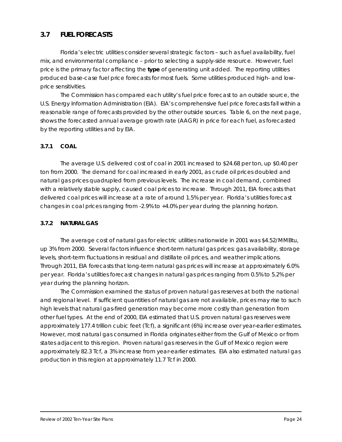# **3.7 FUEL FORECASTS**

Florida's electric utilities consider several strategic factors – such as fuel availability, fuel mix, and environmental compliance – prior to selecting a supply-side resource. However, fuel price is the primary factor affecting the **type** of generating unit added. The reporting utilities produced base-case fuel price forecasts for most fuels. Some utilities produced high- and lowprice sensitivities.

The Commission has compared each utility's fuel price forecast to an outside source, the U.S. Energy Information Administration (EIA). EIA's comprehensive fuel price forecasts fall within a reasonable range of forecasts provided by the other outside sources. Table 6, on the next page, shows the forecasted annual average growth rate (AAGR) in price for each fuel, as forecasted by the reporting utilities and by EIA.

#### *3.7.1 COAL*

The average U.S. delivered cost of coal in 2001 increased to \$24.68 per ton, up \$0.40 per ton from 2000. The demand for coal increased in early 2001, as crude oil prices doubled and natural gas prices quadrupled from previous levels. The increase in coal demand, combined with a relatively stable supply, caused coal prices to increase. Through 2011, EIA forecasts that delivered coal prices will increase at a rate of around 1.5% per year. Florida's utilities forecast changes in coal prices ranging from -2.9% to +4.0% per year during the planning horizon.

#### *3.7.2 NATURAL GAS*

The average cost of natural gas for electric utilities nationwide in 2001 was \$4.52/MMBtu, up 3% from 2000. Several factors influence short-term natural gas prices: gas availability, storage levels, short-term fluctuations in residual and distillate oil prices, and weather implications. Through 2011, EIA forecasts that long-term natural gas prices will increase at approximately 6.0% per year. Florida's utilities forecast changes in natural gas prices ranging from 0.5% to 5.2% per year during the planning horizon.

The Commission examined the status of proven natural gas reserves at both the national and regional level. If sufficient quantities of natural gas are not available, prices may rise to such high levels that natural gas-fired generation may become more costly than generation from other fuel types. At the end of 2000, EIA estimated that U.S. proven natural gas reserves were approximately 177.4 trillion cubic feet (Tcf), a significant (6%) increase over year-earlier estimates. However, most natural gas consumed in Florida originates either from the Gulf of Mexico or from states adjacent to this region. Proven natural gas reserves in the Gulf of Mexico region were approximately 82.3 Tcf, a 3% increase from year-earlier estimates. EIA also estimated natural gas production in this region at approximately 11.7 Tcf in 2000.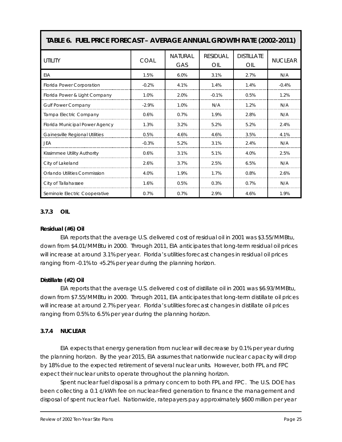| TABLE 6. FUEL PRICE FORECAST - AVERAGE ANNUAL GROWTH RATE (2002-2011) |             |                       |                        |                          |                |
|-----------------------------------------------------------------------|-------------|-----------------------|------------------------|--------------------------|----------------|
| <b>UTILITY</b>                                                        | <b>COAL</b> | <b>NATURAL</b><br>GAS | <b>RESIDUAL</b><br>OIL | <b>DISTILLATE</b><br>OIL | <b>NUCLEAR</b> |
| EIA                                                                   | 1.5%        | 6.0%                  | 3.1%                   | 2.7%                     | N/A            |
| Florida Power Corporation                                             | $-0.2%$     | 4.1%                  | 1.4%                   | 1.4%                     | $-0.4%$        |
| Florida Power & Light Company                                         | 1.0%        | 2.0%                  | $-0.1%$                | 0.5%                     | 1.2%           |
| <b>Gulf Power Company</b>                                             | $-2.9%$     | 1.0%                  | N/A                    | 1.2%                     | N/A            |
| Tampa Electric Company                                                | 0.6%        | 0.7%                  | 1.9%                   | 2.8%                     | N/A            |
| Florida Municipal Power Agency                                        | 1.3%        | 3.2%                  | 5.2%                   | 5.2%                     | 2.4%           |
| Gainesville Regional Utilities                                        | 0.5%        | 4.6%                  | 4.6%                   | 3.5%                     | 4.1%           |
| JEA                                                                   | $-0.3%$     | 5.2%                  | 3.1%                   | 2.4%                     | N/A            |
| Kissimmee Utility Authority                                           | 0.6%        | 3.1%                  | 5.1%                   | 4.0%                     | 2.5%           |
| City of Lakeland                                                      | 2.6%        | 3.7%                  | 2.5%                   | 6.5%                     | N/A            |
| <b>Orlando Utilities Commission</b>                                   | 4.0%        | 1.9%                  | 1.7%                   | 0.8%                     | 2.6%           |
| City of Tallahassee                                                   | 1.6%        | 0.5%                  | 0.3%                   | 0.7%                     | N/A            |
| Seminole Electric Cooperative                                         | 0.7%        | 0.7%                  | 2.9%                   | 4.6%                     | 1.9%           |

#### *3.7.3 OIL*

#### *Residual (#6) Oil*

EIA reports that the average U.S. delivered cost of residual oil in 2001 was \$3.55/MMBtu, down from \$4.01/MMBtu in 2000. Through 2011, EIA anticipates that long-term residual oil prices will increase at around 3.1% per year. Florida's utilities forecast changes in residual oil prices ranging from -0.1% to +5.2% per year during the planning horizon.

#### *Distillate (#2) Oil*

EIA reports that the average U.S. delivered cost of distillate oil in 2001 was \$6.93/MMBtu, down from \$7.55/MMBtu in 2000. Through 2011, EIA anticipates that long-term distillate oil prices will increase at around 2.7% per year. Florida's utilities forecast changes in distillate oil prices ranging from 0.5% to 6.5% per year during the planning horizon.

#### *3.7.4 NUCLEAR*

EIA expects that energy generation from nuclear will decrease by 0.1% per year during the planning horizon. By the year 2015, EIA assumes that nationwide nuclear capacity will drop by 18% due to the expected retirement of several nuclear units. However, both FPL and FPC expect their nuclear units to operate throughout the planning horizon.

Spent nuclear fuel disposal is a primary concern to both FPL and FPC. The U.S. DOE has been collecting a 0.1 ¢/kWh fee on nuclear-fired generation to finance the management and disposal of spent nuclear fuel. Nationwide, ratepayers pay approximately \$600 million per year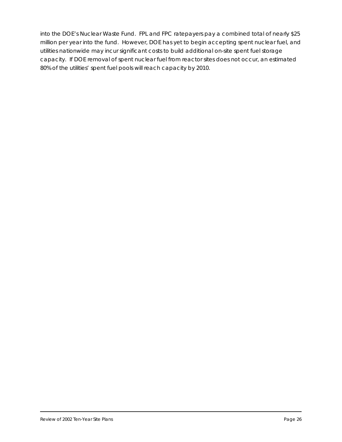into the DOE's Nuclear Waste Fund. FPL and FPC ratepayers pay a combined total of nearly \$25 million per year into the fund. However, DOE has yet to begin accepting spent nuclear fuel, and utilities nationwide may incur significant costs to build additional on-site spent fuel storage capacity. If DOE removal of spent nuclear fuel from reactor sites does not occur, an estimated 80% of the utilities' spent fuel pools will reach capacity by 2010.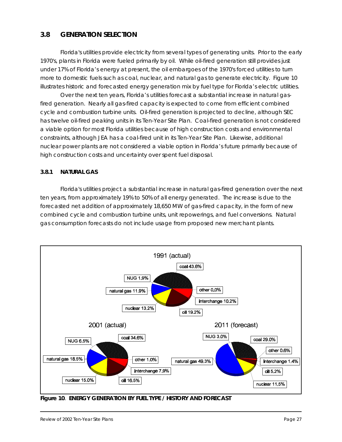# **3.8 GENERATION SELECTION**

Florida's utilities provide electricity from several types of generating units. Prior to the early 1970's, plants in Florida were fueled primarily by oil. While oil-fired generation still provides just under 17% of Florida's energy at present, the oil embargoes of the 1970's forced utilities to turn more to domestic fuels such as coal, nuclear, and natural gas to generate electricity. Figure 10 illustrates historic and forecasted energy generation mix by fuel type for Florida's electric utilities.

Over the next ten years, Florida's utilities forecast a substantial increase in natural gasfired generation. Nearly all gas-fired capacity is expected to come from efficient combined cycle and combustion turbine units. Oil-fired generation is projected to decline, although SEC has twelve oil-fired peaking units in its *Ten-Year Site Plan*. Coal-fired generation is not considered a viable option for most Florida utilities because of high construction costs and environmental constraints, although JEA has a coal-fired unit in its *Ten-Year Site Plan*. Likewise, additional nuclear power plants are not considered a viable option in Florida's future primarily because of high construction costs and uncertainty over spent fuel disposal.

#### *3.8.1 NATURAL GAS*

Florida's utilities project a substantial increase in natural gas-fired generation over the next ten years, from approximately 19% to 50% of all energy generated. The increase is due to the forecasted net addition of approximately 18,650 MW of gas-fired capacity, in the form of new combined cycle and combustion turbine units, unit repowerings, and fuel conversions. Natural gas consumption forecasts do not include usage from proposed new merchant plants.



**Figure 10**. *ENERGY GENERATION BY FUEL TYPE / HISTORY AND FORECAST*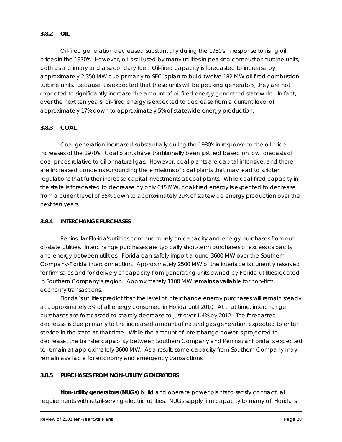#### *3.8.2 OIL*

Oil-fired generation decreased substantially during the 1980's in response to rising oil prices in the 1970's. However, oil is still used by many utilities in peaking combustion turbine units, both as a primary and a secondary fuel. Oil-fired capacity is forecasted to increase by approximately 2,350 MW due primarily to SEC's plan to build twelve 182 MW oil-fired combustion turbine units. Because it is expected that these units will be peaking generators, they are not expected to significantly increase the amount of oil-fired energy generated statewide. In fact, over the next ten years, oil-fired energy is expected to decrease from a current level of approximately 17% down to approximately 5% of statewide energy production.

#### *3.8.3 COAL*

Coal generation increased substantially during the 1980's in response to the oil price increases of the 1970's. Coal plants have traditionally been justified based on low forecasts of coal prices relative to oil or natural gas. However, coal plants are capital-intensive, and there are increased concerns surrounding the emissions of coal plants that may lead to stricter regulations that further increase capital investments at coal plants. While coal-fired capacity in the state is forecasted to decrease by only 645 MW, coal-fired energy is expected to decrease from a current level of 35% down to approximately 29% of statewide energy production over the next ten years.

#### *3.8.4 INTERCHANGE PURCHASES*

Peninsular Florida's utilities continue to rely on capacity and energy purchases from outof-state utilities. Interchange purchases are typically short-term purchases of excess capacity and energy between utilities. Florida can safely import around 3600 MW over the Southern Company-Florida interconnection. Approximately 2500 MW of the interface is currently reserved for firm sales and for delivery of capacity from generating units owned by Florida utilities located in Southern Company's region. Approximately 1100 MW remains available for non-firm, economy transactions.

Florida's utilities predict that the level of interchange energy purchases will remain steady, at approximately 5% of all energy consumed in Florida until 2010. At that time, interchange purchases are forecasted to sharply decrease to just over 1.4% by 2012. The forecasted decrease is due primarily to the increased amount of natural gas generation expected to enter service in the state at that time. While the amount of interchange power is projected to decrease, the transfer capability between Southern Company and Peninsular Florida is expected to remain at approximately 3600 MW. As a result, some capacity from Southern Company may remain available for economy and emergency transactions.

#### *3.8.5 PURCHASES FROM NON-UTILITY GENERATORS*

*Non-utility generators (NUGs)* build and operate power plants to satisfy contractual requirements with retail-serving electric utilities. NUGs supply firm capacity to many of Florida's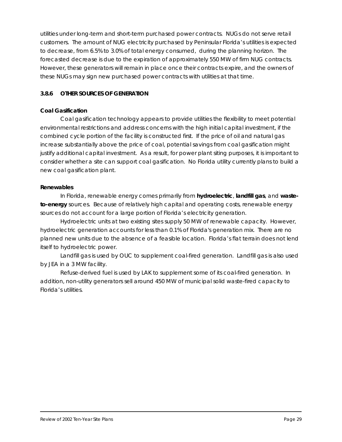utilities under long-term and short-term purchased power contracts. NUGs do not serve retail customers. The amount of NUG electricity purchased by Peninsular Florida's utilities is expected to decrease, from 6.5% to 3.0% of total energy consumed, during the planning horizon. The forecasted decrease is due to the expiration of approximately 550 MW of firm NUG contracts. However, these generators will remain in place once their contracts expire, and the owners of these NUGs may sign new purchased power contracts with utilities at that time.

#### *3.8.6 OTHER SOURCES OF GENERATION*

#### *Coal Gasification*

Coal gasification technology appears to provide utilities the flexibility to meet potential environmental restrictions and address concerns with the high initial capital investment, if the combined cycle portion of the facility is constructed first. If the price of oil and natural gas increase substantially above the price of coal, potential savings from coal gasification might justify additional capital investment. As a result, for power plant siting purposes, it is important to consider whether a site can support coal gasification. No Florida utility currently plans to build a new coal gasification plant.

#### *Renewables*

In Florida, renewable energy comes primarily from *hydroelectric*, *landfill gas*, and *wasteto-energy* sources. Because of relatively high capital and operating costs, renewable energy sources do not account for a large portion of Florida's electricity generation.

Hydroelectric units at two existing sites supply 50 MW of renewable capacity. However, hydroelectric generation accounts for less than 0.1% of Florida's generation mix. There are no planned new units due to the absence of a feasible location. Florida's flat terrain does not lend itself to hydroelectric power.

Landfill gas is used by OUC to supplement coal-fired generation. Landfill gas is also used by JEA in a 3 MW facility.

Refuse-derived fuel is used by LAK to supplement some of its coal-fired generation. In addition, non-utility generators sell around 450 MW of municipal solid waste-fired capacity to Florida's utilities.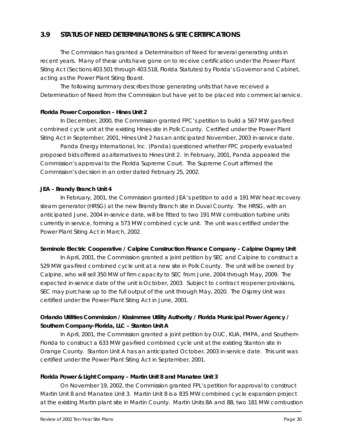# **3.9 STATUS OF NEED DETERMINATIONS & SITE CERTIFICATIONS**

The Commission has granted a Determination of Need for several generating units in recent years. Many of these units have gone on to receive certification under the Power Plant Siting Act (Sections 403.501 through 403.518, Florida Statutes) by Florida's Governor and Cabinet, acting as the Power Plant Siting Board.

The following summary describes those generating units that have received a Determination of Need from the Commission but have yet to be placed into commercial service.

#### *Florida Power Corporation – Hines Unit 2*

In December, 2000, the Commission granted FPC's petition to build a 567 MW gas-fired combined cycle unit at the existing Hines site in Polk County. Certified under the Power Plant Siting Act in September, 2001, Hines Unit 2 has an anticipated November, 2003 in-service date.

Panda Energy International, Inc. (Panda) questioned whether FPC properly evaluated proposed bids offered as alternatives to Hines Unit 2. In February, 2001, Panda appealed the Commission's approval to the Florida Supreme Court. The Supreme Court affirmed the Commission's decision in an order dated February 25, 2002.

#### *JEA – Brandy Branch Unit 4*

In February, 2001, the Commission granted JEA's petition to add a 191 MW heat recovery steam generator (HRSG) at the new Brandy Branch site in Duval County. The HRSG, with an anticipated June, 2004 in-service date, will be fitted to two 191 MW combustion turbine units currently in service, forming a 573 MW combined cycle unit. The unit was certified under the Power Plant Siting Act in March, 2002.

#### *Seminole Electric Cooperative / Calpine Construction Finance Company – Calpine Osprey Unit*

In April, 2001, the Commission granted a joint petition by SEC and Calpine to construct a 529 MW gas-fired combined cycle unit at a new site in Polk County. The unit will be owned by Calpine, who will sell 350 MW of firm capacity to SEC from June, 2004 through May, 2009. The expected in-service date of the unit is October, 2003. Subject to contract reopener provisions, SEC may purchase up to the full output of the unit through May, 2020. The Osprey Unit was certified under the Power Plant Siting Act in June, 2001.

# *Orlando Utilities Commission / Kissimmee Utility Authority / Florida Municipal Power Agency / Southern Company-Florida, LLC – Stanton Unit A*

In April, 2001, the Commission granted a joint petition by OUC, KUA, FMPA, and Southern-Florida to construct a 633 MW gas-fired combined cycle unit at the existing Stanton site in Orange County. Stanton Unit A has an anticipated October, 2003 in-service date. This unit was certified under the Power Plant Siting Act in September, 2001.

#### *Florida Power & Light Company – Martin Unit 8 and Manatee Unit 3*

On November 19, 2002, the Commission granted FPL's petition for approval to construct Martin Unit 8 and Manatee Unit 3. Martin Unit 8 is a 835 MW combined cycle expansion project at the existing Martin plant site in Martin County. Martin Units 8A and 8B, two 181 MW combustion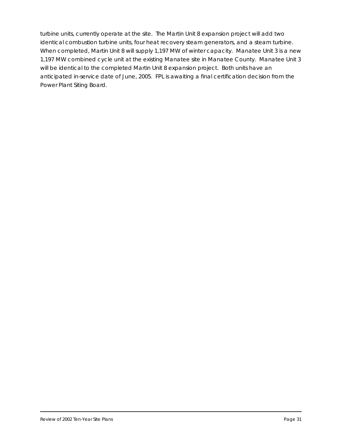turbine units, currently operate at the site. The Martin Unit 8 expansion project will add two identical combustion turbine units, four heat recovery steam generators, and a steam turbine. When completed, Martin Unit 8 will supply 1,197 MW of winter capacity. Manatee Unit 3 is a new 1,197 MW combined cycle unit at the existing Manatee site in Manatee County. Manatee Unit 3 will be identical to the completed Martin Unit 8 expansion project. Both units have an anticipated in-service date of June, 2005. FPL is awaiting a final certification decision from the Power Plant Siting Board.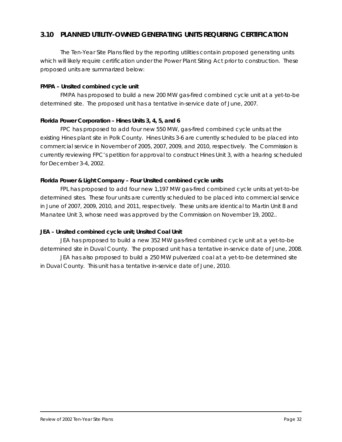# **3.10 PLANNED UTILITY-OWNED GENERATING UNITS REQUIRING CERTIFICATION**

The *Ten-Year Site Plans* filed by the reporting utilities contain proposed generating units which will likely require certification under the Power Plant Siting Act prior to construction. These proposed units are summarized below:

#### *FMPA – Unsited combined cycle unit*

FMPA has proposed to build a new 200 MW gas-fired combined cycle unit at a yet-to-be determined site. The proposed unit has a tentative in-service date of June, 2007.

#### *Florida Power Corporation – Hines Units 3, 4, 5, and 6*

FPC has proposed to add four new 550 MW, gas-fired combined cycle units at the existing Hines plant site in Polk County. Hines Units 3-6 are currently scheduled to be placed into commercial service in November of 2005, 2007, 2009, and 2010, respectively. The Commission is currently reviewing FPC's petition for approval to construct Hines Unit 3, with a hearing scheduled for December 3-4, 2002.

#### *Florida Power & Light Company – Four Unsited combined cycle units*

FPL has proposed to add four new 1,197 MW gas-fired combined cycle units at yet-to-be determined sites. These four units are currently scheduled to be placed into commercial service in June of 2007, 2009, 2010, and 2011, respectively. These units are identical to Martin Unit 8 and Manatee Unit 3, whose need was approved by the Commission on November 19, 2002..

#### *JEA – Unsited combined cycle unit; Unsited Coal Unit*

JEA has proposed to build a new 352 MW gas-fired combined cycle unit at a yet-to-be determined site in Duval County. The proposed unit has a tentative in-service date of June, 2008.

JEA has also proposed to build a 250 MW pulverized coal at a yet-to-be determined site in Duval County. This unit has a tentative in-service date of June, 2010.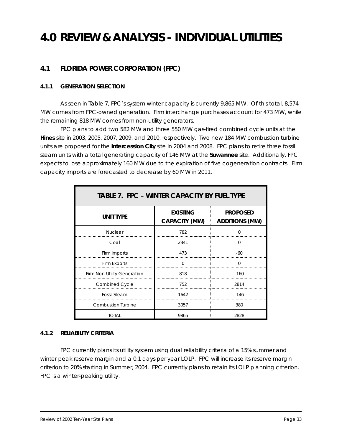# **4.0 REVIEW & ANALYSIS - INDIVIDUAL UTILITIES**

# **4.1 FLORIDA POWER CORPORATION (FPC)**

#### *4.1.1 GENERATION SELECTION*

As seen in Table 7, FPC's system winter capacity is currently 9,865 MW. Of this total, 8,574 MW comes from FPC-owned generation. Firm interchange purchases account for 473 MW, while the remaining 818 MW comes from non-utility generators.

FPC plans to add two 582 MW and three 550 MW gas-fired combined cycle units at the **Hines** site in 2003, 2005, 2007, 2009, and 2010, respectively. Two new 184 MW combustion turbine units are proposed for the **Intercession City** site in 2004 and 2008. FPC plans to retire three fossil steam units with a total generating capacity of 146 MW at the **Suwannee** site. Additionally, FPC expects to lose approximately 160 MW due to the expiration of five cogeneration contracts. Firm capacity imports are forecasted to decrease by 60 MW in 2011.

| <b>TABLE 7. FPC - WINTER CAPACITY BY FUEL TYPE</b> |                                         |                                          |
|----------------------------------------------------|-----------------------------------------|------------------------------------------|
| <b>UNIT TYPE</b>                                   | <b>EXISTING</b><br><b>CAPACITY (MW)</b> | <b>PROPOSED</b><br><b>ADDITIONS (MW)</b> |
| <b>Nuclear</b>                                     | 782                                     | $\Omega$                                 |
| Coal                                               | 2341                                    | $\Omega$                                 |
| Firm Imports                                       | 473                                     | -60                                      |
| Firm Exports                                       | $\Omega$                                | $\Omega$                                 |
| Firm Non-Utility Generation                        | 818                                     | $-160$                                   |
| <b>Combined Cycle</b>                              | 752                                     | 2814                                     |
| <b>Fossil Steam</b>                                | 1642                                    | $-146$                                   |
| <b>Combustion Turbine</b>                          | 3057                                    | 380                                      |
| <b>TOTAL</b>                                       | 9865                                    | 2828                                     |

#### *4.1.2 RELIABILITY CRITERIA*

FPC currently plans its utility system using dual reliability criteria of a 15% summer and winter peak reserve margin and a 0.1 days per year LOLP. FPC will increase its reserve margin criterion to 20% starting in Summer, 2004. FPC currently plans to retain its LOLP planning criterion. FPC is a winter-peaking utility.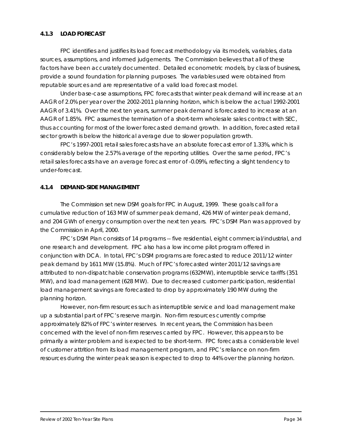#### *4.1.3 LOAD FORECAST*

FPC identifies and justifies its load forecast methodology via its models, variables, data sources, assumptions, and informed judgements. The Commission believes that all of these factors have been accurately documented. Detailed econometric models, by class of business, provide a sound foundation for planning purposes. The variables used were obtained from reputable sources and are representative of a valid load forecast model.

Under base-case assumptions, FPC forecasts that winter peak demand will increase at an AAGR of 2.0% per year over the 2002-2011 planning horizon, which is below the actual 1992-2001 AAGR of 3.41%. Over the next ten years, summer peak demand is forecasted to increase at an AAGR of 1.85%. FPC assumes the termination of a short-term wholesale sales contract with SEC, thus accounting for most of the lower forecasted demand growth. In addition, forecasted retail sector growth is below the historical average due to slower population growth.

FPC's 1997-2001 retail sales forecasts have an absolute forecast error of 1.33%, which is considerably below the 2.57% average of the reporting utilities. Over the same period, FPC's retail sales forecasts have an average forecast error of -0.09%, reflecting a slight tendency to under-forecast.

#### *4.1.4 DEMAND-SIDE MANAGEMENT*

The Commission set new DSM goals for FPC in August, 1999. These goals call for a cumulative reduction of 163 MW of summer peak demand, 426 MW of winter peak demand, and 204 GWh of energy consumption over the next ten years. FPC's DSM Plan was approved by the Commission in April, 2000.

FPC's DSM Plan consists of 14 programs -- five residential, eight commercial/industrial, and one research and development. FPC also has a low income pilot program offered in conjunction with DCA. In total, FPC's DSM programs are forecasted to reduce 2011/12 winter peak demand by 1611 MW (15.8%). Much of FPC's forecasted winter 2011/12 savings are attributed to non-dispatchable conservation programs (632MW), interruptible service tariffs (351 MW), and load management (628 MW). Due to decreased customer participation, residential load management savings are forecasted to drop by approximately 190 MW during the planning horizon.

However, non-firm resources such as interruptible service and load management make up a substantial part of FPC's reserve margin. Non-firm resources currently comprise approximately 82% of FPC's winter reserves. In recent years, the Commission has been concerned with the level of non-firm reserves carried by FPC. However, this appears to be primarily a winter problem and is expected to be short-term. FPC forecasts a considerable level of customer attrition from its load management program, and FPC's reliance on non-firm resources during the winter peak season is expected to drop to 44% over the planning horizon.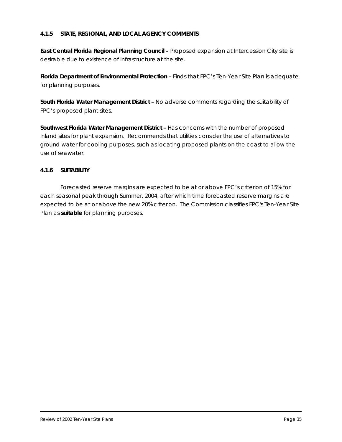#### *4.1.5 STATE, REGIONAL, AND LOCAL AGENCY COMMENTS*

**East Central Florida Regional Planning Council - Proposed expansion at Intercession City site is** desirable due to existence of infrastructure at the site.

**Florida Department of Environmental Protection – Finds that FPC's Ten-Year Site Plan is adequate** for planning purposes.

*South Florida Water Management District –* No adverse comments regarding the suitability of FPC's proposed plant sites.

*Southwest Florida Water Management District –* Has concerns with the number of proposed inland sites for plant expansion. Recommends that utilities consider the use of alternatives to ground water for cooling purposes, such as locating proposed plants on the coast to allow the use of seawater.

#### *4.1.6 SUITABILITY*

Forecasted reserve margins are expected to be at or above FPC's criterion of 15% for each seasonal peak through Summer, 2004, after which time forecasted reserve margins are expected to be at or above the new 20% criterion. The Commission classifies FPC's *Ten-Year Site Plan* as *suitable* for planning purposes.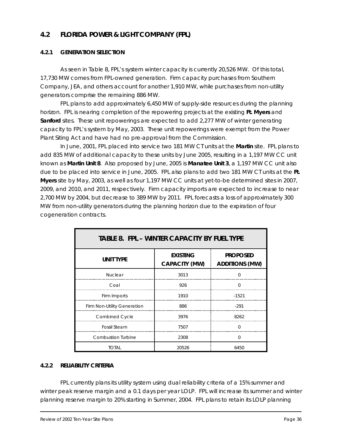# **4.2 FLORIDA POWER & LIGHT COMPANY (FPL)**

#### *4.2.1 GENERATION SELECTION*

As seen in Table 8, FPL's system winter capacity is currently 20,526 MW. Of this total, 17,730 MW comes from FPL-owned generation. Firm capacity purchases from Southern Company, JEA, and others account for another 1,910 MW, while purchases from non-utility generators comprise the remaining 886 MW.

FPL plans to add approximately 6,450 MW of supply-side resources during the planning horizon. FPL is nearing completion of the repowering projects at the existing **Ft. Myers** and **Sanford** sites. These unit repowerings are expected to add 2,277 MW of winter generating capacity to FPL's system by May, 2003. These unit repowerings were exempt from the Power Plant Siting Act and have had no pre-approval from the Commission.

In June, 2001, FPL placed into service two 181 MW CT units at the **Martin** site. FPL plans to add 835 MW of additional capacity to these units by June 2005, resulting in a 1,197 MW CC unit known as **Martin Unit 8**. Also proposed by June, 2005 is **Manatee Unit 3**, a 1,197 MW CC unit also due to be placed into service in June, 2005. FPL also plans to add two 181 MW CT units at the **Ft. Myers** site by May, 2003, as well as four 1,197 MW CC units at yet-to-be determined sites in 2007, 2009, and 2010, and 2011, respectively. Firm capacity imports are expected to increase to near 2,700 MW by 2004, but decrease to 389 MW by 2011. FPL forecasts a loss of approximately 300 MW from non-utility generators during the planning horizon due to the expiration of four cogeneration contracts.

| <b>TABLE 8. FPL - WINTER CAPACITY BY FUEL TYPE</b> |                                         |                                          |
|----------------------------------------------------|-----------------------------------------|------------------------------------------|
| <b>UNIT TYPE</b>                                   | <b>EXISTING</b><br><b>CAPACITY (MW)</b> | <b>PROPOSED</b><br><b>ADDITIONS (MW)</b> |
| <b>Nuclear</b>                                     | 3013                                    | U                                        |
| Coal                                               | 926                                     | $\Omega$                                 |
| Firm Imports                                       | 1910                                    | $-1521$                                  |
| Firm Non-Utility Generation                        | 886                                     | $-291$                                   |
| <b>Combined Cycle</b>                              | 3976                                    | 8262                                     |
| <b>Fossil Steam</b>                                | 7507                                    | $\Omega$                                 |
| <b>Combustion Turbine</b>                          | 2308                                    | $\Omega$                                 |
| Total                                              | 20526                                   | 6450                                     |

#### *4.2.2 RELIABILITY CRITERIA*

FPL currently plans its utility system using dual reliability criteria of a 15% summer and winter peak reserve margin and a 0.1 days per year LOLP. FPL will increase its summer and winter planning reserve margin to 20% starting in Summer, 2004. FPL plans to retain its LOLP planning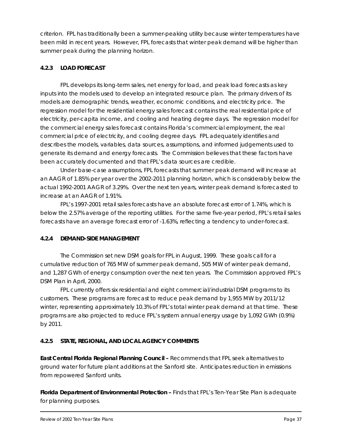criterion. FPL has traditionally been a summer-peaking utility because winter temperatures have been mild in recent years. However, FPL forecasts that winter peak demand will be higher than summer peak during the planning horizon.

#### *4.2.3 LOAD FORECAST*

FPL develops its long-term sales, net energy for load, and peak load forecasts as key inputs into the models used to develop an integrated resource plan. The primary drivers of its models are demographic trends, weather, economic conditions, and electricity price. The regression model for the residential energy sales forecast contains the real residential price of electricity, per-capita income, and cooling and heating degree days. The regression model for the commercial energy sales forecast contains Florida's commercial employment, the real commercial price of electricity, and cooling degree days. FPL adequately identifies and describes the models, variables, data sources, assumptions, and informed judgements used to generate its demand and energy forecasts. The Commission believes that these factors have been accurately documented and that FPL's data sources are credible.

Under base-case assumptions, FPL forecasts that summer peak demand will increase at an AAGR of 1.85% per year over the 2002-2011 planning horizon, which is considerably below the actual 1992-2001 AAGR of 3.29%. Over the next ten years, winter peak demand is forecasted to increase at an AAGR of 1.91%.

FPL's 1997-2001 retail sales forecasts have an absolute forecast error of 1.74%, which is below the 2.57% average of the reporting utilities. For the same five-year period, FPL's retail sales forecasts have an average forecast error of -1.63%, reflecting a tendency to under-forecast.

#### *4.2.4 DEMAND-SIDE MANAGEMENT*

The Commission set new DSM goals for FPL in August, 1999. These goals call for a cumulative reduction of 765 MW of summer peak demand, 505 MW of winter peak demand, and 1,287 GWh of energy consumption over the next ten years. The Commission approved FPL's DSM Plan in April, 2000.

FPL currently offers six residential and eight commercial/industrial DSM programs to its customers. These programs are forecast to reduce peak demand by 1,955 MW by 2011/12 winter, representing approximately 10.3% of FPL's total winter peak demand at that time. These programs are also projected to reduce FPL's system annual energy usage by 1,092 GWh (0.9%) by 2011.

# *4.2.5 STATE, REGIONAL, AND LOCAL AGENCY COMMENTS*

**East Central Florida Regional Planning Council - Recommends that FPL seek alternatives to** ground water for future plant additions at the Sanford site. Anticipates reduction in emissions from repowered Sanford units.

**Florida Department of Environmental Protection – Finds that FPL's** *Ten-Year Site Plan* **is adequate** for planning purposes.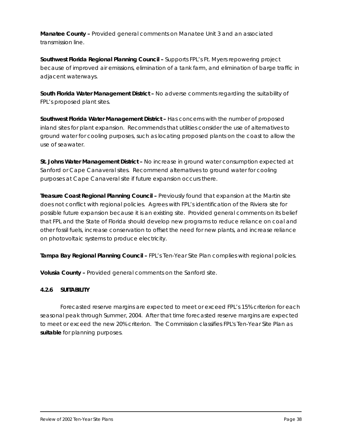*Manatee County –* Provided general comments on Manatee Unit 3 and an associated transmission line.

*Southwest Florida Regional Planning Council –* Supports FPL's Ft. Myers repowering project because of improved air emissions, elimination of a tank farm, and elimination of barge traffic in adjacent waterways.

*South Florida Water Management District –* No adverse comments regarding the suitability of FPL's proposed plant sites.

*Southwest Florida Water Management District –* Has concerns with the number of proposed inland sites for plant expansion. Recommends that utilities consider the use of alternatives to ground water for cooling purposes, such as locating proposed plants on the coast to allow the use of seawater.

*St. Johns Water Management District –* No increase in ground water consumption expected at Sanford or Cape Canaveral sites. Recommend alternatives to ground water for cooling purposes at Cape Canaveral site if future expansion occurs there.

*Treasure Coast Regional Planning Council –* Previously found that expansion at the Martin site does not conflict with regional policies. Agrees with FPL's identification of the Riviera site for possible future expansion because it is an existing site. Provided general comments on its belief that FPL and the State of Florida should develop new programs to reduce reliance on coal and other fossil fuels, increase conservation to offset the need for new plants, and increase reliance on photovoltaic systems to produce electricity.

*Tampa Bay Regional Planning Council –* FPL's *Ten-Year Site Plan* complies with regional policies.

*Volusia County –* Provided general comments on the Sanford site.

#### *4.2.6 SUITABILITY*

Forecasted reserve margins are expected to meet or exceed FPL's 15% criterion for each seasonal peak through Summer, 2004. After that time forecasted reserve margins are expected to meet or exceed the new 20% criterion. The Commission classifies FPL's *Ten-Year Site Plan* as *suitable* for planning purposes.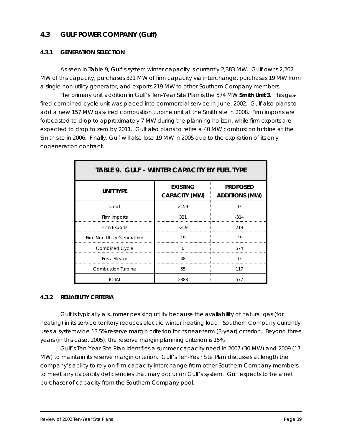# **4.3 GULF POWER COMPANY (Gulf)**

#### *4.3.1 GENERATION SELECTION*

As seen in Table 9, Gulf's system winter capacity is currently 2,383 MW. Gulf owns 2,262 MW of this capacity, purchases 321 MW of firm capacity via interchange, purchases 19 MW from a single non-utility generator, and exports 219 MW to other Southern Company members.

The primary unit addition in Gulf's *Ten-Year Site Plan* is the 574 MW **Smith Unit 3**. This gasfired combined cycle unit was placed into commercial service in June, 2002. Gulf also plans to add a new 157 MW gas-fired combustion turbine unit at the Smith site in 2008. Firm imports are forecasted to drop to approximately 7 MW during the planning horizon, while firm exports are expected to drop to zero by 2011. Gulf also plans to retire a 40 MW combustion turbine at the Smith site in 2006. Finally, Gulf will also lose 19 MW in 2005 due to the expiration of its only cogeneration contract.

| <b>TABLE 9. GULF - WINTER CAPACITY BY FUEL TYPE</b> |                                         |                                          |
|-----------------------------------------------------|-----------------------------------------|------------------------------------------|
| <b>UNIT TYPE</b>                                    | <b>EXISTING</b><br><b>CAPACITY (MW)</b> | <b>PROPOSED</b><br><b>ADDITIONS (MW)</b> |
| Coal                                                | 2159                                    | $\Omega$                                 |
| Firm Imports                                        | 321                                     | $-314$                                   |
| Firm Exports                                        | $-219$                                  | 219                                      |
| Firm Non-Utility Generation                         | 19                                      | $-19$                                    |
| <b>Combined Cycle</b>                               | $\Omega$                                | 574                                      |
| <b>Fossil Steam</b>                                 | 48                                      | $\Omega$                                 |
| <b>Combustion Turbine</b>                           | 55                                      | 117                                      |
| <b>TOTAL</b>                                        | 2383                                    | 577                                      |

#### *4.3.2 RELIABILITY CRITERIA*

Gulf is typically a summer peaking utility because the availability of natural gas (for heating) in its service territory reduces electric winter heating load. Southern Company currently uses a systemwide 13.5% reserve margin criterion for its near-term (3-year) criterion. Beyond three years (in this case, 2005), the reserve margin planning criterion is 15%.

Gulf's *Ten-Year Site Plan* identifies a summer capacity need in 2007 (30 MW) and 2009 (17 MW) to maintain its reserve margin criterion. Gulf's *Ten-Year Site Plan* discusses at length the company's ability to rely on firm capacity interchange from other Southern Company members to meet any capacity deficiencies that may occur on Gulf's system. Gulf expects to be a net purchaser of capacity from the Southern Company pool.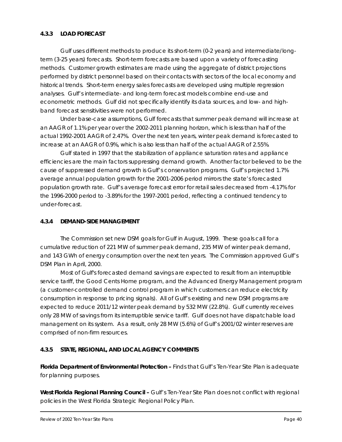#### *4.3.3 LOAD FORECAST*

Gulf uses different methods to produce its short-term (0-2 years) and intermediate/longterm (3-25 years) forecasts. Short-term forecasts are based upon a variety of forecasting methods. Customer growth estimates are made using the aggregate of district projections performed by district personnel based on their contacts with sectors of the local economy and historical trends. Short-term energy sales forecasts are developed using multiple regression analyses. Gulf's intermediate- and long-term forecast models combine end-use and econometric methods. Gulf did not specifically identify its data sources, and low- and highband forecast sensitivities were not performed.

Under base-case assumptions, Gulf forecasts that summer peak demand will increase at an AAGR of 1.1% per year over the 2002-2011 planning horizon, which is less than half of the actual 1992-2001 AAGR of 2.47%. Over the next ten years, winter peak demand is forecasted to increase at an AAGR of 0.9%, which is also less than half of the actual AAGR of 2.55%.

Gulf stated in 1997 that the stabilization of appliance saturation rates and appliance efficiencies are the main factors suppressing demand growth. Another factor believed to be the cause of suppressed demand growth is Gulf's conservation programs. Gulf's projected 1.7% average annual population growth for the 2001-2006 period mirrors the state's forecasted population growth rate. Gulf's average forecast error for retail sales decreased from -4.17% for the 1996-2000 period to -3.89% for the 1997-2001 period, reflecting a continued tendency to under-forecast.

#### *4.3.4 DEMAND-SIDE MANAGEMENT*

The Commission set new DSM goals for Gulf in August, 1999. These goals call for a cumulative reduction of 221 MW of summer peak demand, 235 MW of winter peak demand, and 143 GWh of energy consumption over the next ten years. The Commission approved Gulf's DSM Plan in April, 2000.

Most of Gulf's forecasted demand savings are expected to result from an interruptible service tariff, the Good Cents Home program, and the Advanced Energy Management program (a customer-controlled demand control program in which customers can reduce electricity consumption in response to pricing signals). All of Gulf's existing and new DSM programs are expected to reduce 2011/12 winter peak demand by 532 MW (22.8%). Gulf currently receives only 28 MW of savings from its interruptible service tariff. Gulf does not have dispatchable load management on its system. As a result, only 28 MW (5.6%) of Gulf's 2001/02 winter reserves are comprised of non-firm resources.

#### *4.3.5 STATE, REGIONAL, AND LOCAL AGENCY COMMENTS*

*Florida Department of Environmental Protection –* Finds that Gulf's *Ten-Year Site Plan* is adequate for planning purposes.

*West Florida Regional Planning Council –* Gulf's *Ten-Year Site Plan* does not conflict with regional policies in the West Florida Strategic Regional Policy Plan.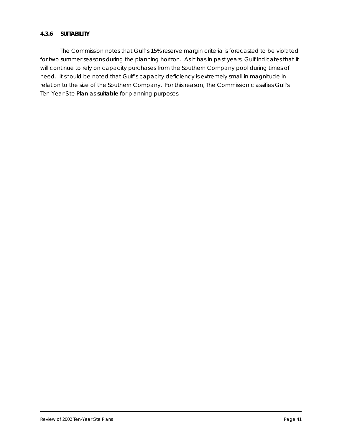#### *4.3.6 SUITABILITY*

The Commission notes that Gulf's 15% reserve margin criteria is forecasted to be violated for two summer seasons during the planning horizon. As it has in past years, Gulf indicates that it will continue to rely on capacity purchases from the Southern Company pool during times of need. It should be noted that Gulf's capacity deficiency is extremely small in magnitude in relation to the size of the Southern Company. For this reason, The Commission classifies Gulf's *Ten-Year Site Plan* as *suitable* for planning purposes.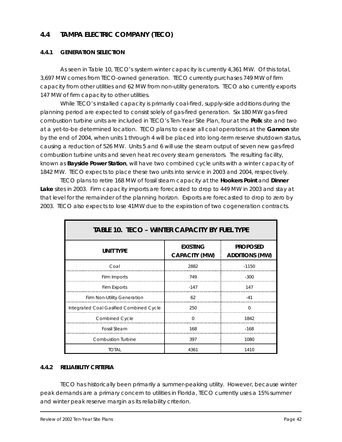# **4.4 TAMPA ELECTRIC COMPANY (TECO)**

#### *4.4.1 GENERATION SELECTION*

As seen in Table 10, TECO's system winter capacity is currently 4,361 MW. Of this total, 3,697 MW comes from TECO-owned generation. TECO currently purchases 749 MW of firm capacity from other utilities and 62 MW from non-utility generators. TECO also currently exports 147 MW of firm capacity to other utilities.

While TECO's installed capacity is primarily coal-fired, supply-side additions during the planning period are expected to consist solely of gas-fired generation. Six 180 MW gas-fired combustion turbine units are included in TECO's *Ten-Year Site Plan*, four at the **Polk** site and two at a yet-to-be determined location. TECO plans to cease all coal operations at the **Gannon** site by the end of 2004, when units 1 through 4 will be placed into long-term reserve shutdown status, causing a reduction of 526 MW. Units 5 and 6 will use the steam output of seven new gas-fired combustion turbine units and seven heat recovery steam generators. The resulting facility, known as **Bayside Power Station**, will have two combined cycle units with a winter capacity of 1842 MW. TECO expects to place these two units into service in 2003 and 2004, respectively.

TECO plans to retire 168 MW of fossil steam capacity at the **Hookers Point** and **Dinner Lake** sites in 2003. Firm capacity imports are forecasted to drop to 449 MW in 2003 and stay at that level for the remainder of the planning horizon. Exports are forecasted to drop to zero by 2003. TECO also expects to lose 41MW due to the expiration of two cogeneration contracts.

| <b>TABLE 10. TECO - WINTER CAPACITY BY FUEL TYPE</b> |                                         |                                          |  |
|------------------------------------------------------|-----------------------------------------|------------------------------------------|--|
| <b>UNIT TYPE</b>                                     | <b>EXISTING</b><br><b>CAPACITY (MW)</b> | <b>PROPOSED</b><br><b>ADDITIONS (MW)</b> |  |
| Coal                                                 | 2882                                    | $-1150$                                  |  |
| Firm Imports                                         | 749                                     | $-300$                                   |  |
| Firm Exports                                         | $-147$                                  | 147                                      |  |
| Firm Non-Utility Generation                          | 62                                      | $-41$                                    |  |
| Integrated Coal Gasified Combined Cycle              | 250                                     | $\Omega$                                 |  |
| Combined Cycle                                       | $\Omega$                                | 1842                                     |  |
| <b>Fossil Steam</b>                                  | 168                                     | $-168$                                   |  |
| <b>Combustion Turbine</b>                            | 397                                     | 1080                                     |  |
| <b>TOTAL</b>                                         | 4361                                    | 1410                                     |  |

#### *4.4.2 RELIABILITY CRITERIA*

TECO has historically been primarily a summer-peaking utility. However, because winter peak demands are a primary concern to utilities in Florida, TECO currently uses a 15% summer and winter peak reserve margin as its reliability criterion.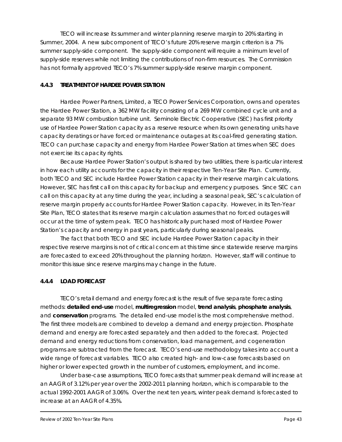TECO will increase its summer and winter planning reserve margin to 20% starting in Summer, 2004. A new subcomponent of TECO's future 20% reserve margin criterion is a 7% summer supply-side component. The supply-side component will require a minimum level of supply-side reserves while not limiting the contributions of non-firm resources. The Commission has not formally approved TECO's 7% summer supply-side reserve margin component.

#### *4.4.3 TREATMENT OF HARDEE POWER STATION*

Hardee Power Partners, Limited, a TECO Power Services Corporation, owns and operates the Hardee Power Station, a 362 MW facility consisting of a 269 MW combined cycle unit and a separate 93 MW combustion turbine unit. Seminole Electric Cooperative (SEC) has first priority use of Hardee Power Station capacity as a reserve resource when its own generating units have capacity deratings or have forced or maintenance outages at its coal-fired generating station. TECO can purchase capacity and energy from Hardee Power Station at times when SEC does not exercise its capacity rights.

Because Hardee Power Station's output is shared by two utilities, there is particular interest in how each utility accounts for the capacity in their respective *Ten-Year Site Plan*. Currently, both TECO and SEC include Hardee Power Station capacity in their reserve margin calculations. However, SEC has first call on this capacity for backup and emergency purposes. Since SEC can call on this capacity at any time during the year, including a seasonal peak, SEC's calculation of reserve margin properly accounts for Hardee Power Station capacity. However, in its *Ten-Year Site Plan*, TECO states that its reserve margin calculation assumes that no forced outages will occur at the time of system peak. TECO has historically purchased most of Hardee Power Station's capacity and energy in past years, particularly during seasonal peaks.

The fact that both TECO and SEC include Hardee Power Station capacity in their respective reserve margins is not of critical concern at this time since statewide reserve margins are forecasted to exceed 20% throughout the planning horizon. However, staff will continue to monitor this issue since reserve margins may change in the future.

#### *4.4.4 LOAD FORECAST*

TECO's retail demand and energy forecast is the result of five separate forecasting methods: *detailed end-use* model, *multiregression* model, *trend analysis*, *phosphate analysis*, and *conservation* programs. The detailed end-use model is the most comprehensive method. The first three models are combined to develop a demand and energy projection. Phosphate demand and energy are forecasted separately and then added to the forecast. Projected demand and energy reductions from conservation, load management, and cogeneration programs are subtracted from the forecast. TECO's end-use methodology takes into account a wide range of forecast variables. TECO also created high- and low-case forecasts based on higher or lower expected growth in the number of customers, employment, and income.

Under base-case assumptions, TECO forecasts that summer peak demand will increase at an AAGR of 3.12% per year over the 2002-2011 planning horizon, which is comparable to the actual 1992-2001 AAGR of 3.06%. Over the next ten years, winter peak demand is forecasted to increase at an AAGR of 4.35%.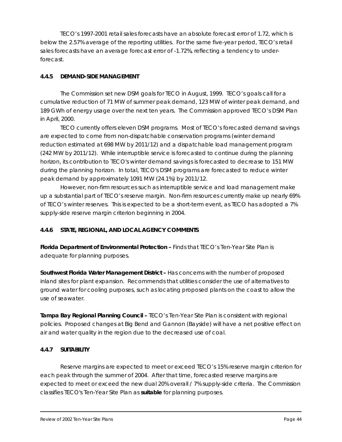TECO's 1997-2001 retail sales forecasts have an absolute forecast error of 1.72, which is below the 2.57% average of the reporting utilities. For the same five-year period, TECO's retail sales forecasts have an average forecast error of -1.72%, reflecting a tendency to underforecast.

#### *4.4.5 DEMAND-SIDE MANAGEMENT*

The Commission set new DSM goals for TECO in August, 1999. TECO's goals call for a cumulative reduction of 71 MW of summer peak demand, 123 MW of winter peak demand, and 189 GWh of energy usage over the next ten years. The Commission approved TECO's DSM Plan in April, 2000.

TECO currently offers eleven DSM programs. Most of TECO's forecasted demand savings are expected to come from non-dispatchable conservation programs (winter demand reduction estimated at 698 MW by 2011/12) and a dispatchable load management program (242 MW by 2011/12). While interruptible service is forecasted to continue during the planning horizon, its contribution to TECO's winter demand savings is forecasted to decrease to 151 MW during the planning horizon. In total, TECO's DSM programs are forecasted to reduce winter peak demand by approximately 1091 MW (24.1%) by 2011/12.

However, non-firm resources such as interruptible service and load management make up a substantial part of TECO's reserve margin. Non-firm resources currently make up nearly 69% of TECO's winter reserves. This is expected to be a short-term event, as TECO has adopted a 7% supply-side reserve margin criterion beginning in 2004.

# *4.4.6 STATE, REGIONAL, AND LOCAL AGENCY COMMENTS*

*Florida Department of Environmental Protection –* Finds that TECO's *Ten-Year Site Plan* is adequate for planning purposes.

**Southwest Florida Water Management District - Has concerns with the number of proposed** inland sites for plant expansion. Recommends that utilities consider the use of alternatives to ground water for cooling purposes, such as locating proposed plants on the coast to allow the use of seawater.

*Tampa Bay Regional Planning Council –* TECO's *Ten-Year Site Plan* is consistent with regional policies. Proposed changes at Big Bend and Gannon (Bayside) will have a net positive effect on air and water quality in the region due to the decreased use of coal.

# *4.4.7 SUITABILITY*

Reserve margins are expected to meet or exceed TECO's 15% reserve margin criterion for each peak through the summer of 2004. After that time, forecasted reserve margins are expected to meet or exceed the new dual 20% overall / 7% supply-side criteria. The Commission classifies TECO's *Ten-Year Site Plan* as *suitable* for planning purposes.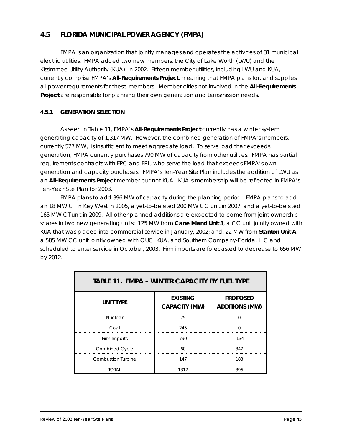# **4.5 FLORIDA MUNICIPAL POWER AGENCY (FMPA)**

FMPA is an organization that jointly manages and operates the activities of 31 municipal electric utilities. FMPA added two new members, the City of Lake Worth (LWU) and the Kissimmee Utility Authority (KUA), in 2002. Fifteen member utilities, including LWU and KUA, currently comprise FMPA's **All-Requirements Project**, meaning that FMPA plans for, and supplies, all power requirements for these members. Member cities not involved in the **All-Requirements Project** are responsible for planning their own generation and transmission needs.

#### *4.5.1 GENERATION SELECTION*

As seen in Table 11, FMPA's **All-Requirements Project** currently has a winter system generating capacity of 1,317 MW. However, the combined generation of FMPA's members, currently 527 MW, is insufficient to meet aggregate load. To serve load that exceeds generation, FMPA currently purchases 790 MW of capacity from other utilities. FMPA has partial requirements contracts with FPC and FPL, who serve the load that exceeds FMPA's own generation and capacity purchases. FMPA's *Ten-Year Site Plan* includes the addition of LWU as an **All-Requirements Project** member but not KUA. KUA's membership will be reflected in FMPA's *Ten-Year Site Plan* for 2003.

FMPA plans to add 396 MW of capacity during the planning period. FMPA plans to add an 18 MW CT in Key West in 2005, a yet-to-be sited 200 MW CC unit in 2007, and a yet-to-be sited 165 MW CT unit in 2009. All other planned additions are expected to come from joint ownership shares in two new generating units: 125 MW from **Cane Island Unit 3**, a CC unit jointly owned with KUA that was placed into commercial service in January, 2002; and, 22 MW from **Stanton Unit A**, a 585 MW CC unit jointly owned with OUC, KUA, and Southern Company-Florida, LLC and scheduled to enter service in October, 2003. Firm imports are forecasted to decrease to 656 MW by 2012.

| <b>TABLE 11. FMPA - WINTER CAPACITY BY FUEL TYPE</b> |                                         |                                          |
|------------------------------------------------------|-----------------------------------------|------------------------------------------|
| <b>UNIT TYPE</b>                                     | <b>EXISTING</b><br><b>CAPACITY (MW)</b> | <b>PROPOSED</b><br><b>ADDITIONS (MW)</b> |
| <b>Nuclear</b>                                       | 75                                      | $\Omega$                                 |
| Coal                                                 | 245                                     | <sup>n</sup>                             |
| Firm Imports                                         | 790                                     | $-134$                                   |
| <b>Combined Cycle</b>                                | 60                                      | 347                                      |
| <b>Combustion Turbine</b>                            | 147                                     | 183                                      |
| <b>TOTAL</b>                                         | 1317                                    | 396                                      |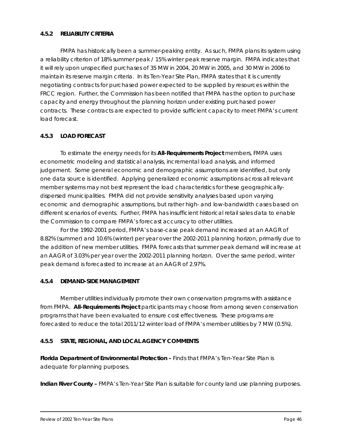#### *4.5.2 RELIABILITY CRITERIA*

FMPA has historically been a summer-peaking entity. As such, FMPA plans its system using a reliability criterion of 18% summer peak / 15% winter peak reserve margin. FMPA indicates that it will rely upon unspecified purchases of 35 MW in 2004, 20 MW in 2005, and 30 MW in 2006 to maintain its reserve margin criteria. In its *Ten-Year Site Plan*, FMPA states that it is currently negotiating contracts for purchased power expected to be supplied by resources within the FRCC region. Further, the Commission has been notified that FMPA has the option to purchase capacity and energy throughout the planning horizon under existing purchased power contracts. These contracts are expected to provide sufficient capacity to meet FMPA's current load forecast.

#### *4.5.3 LOAD FORECAST*

To estimate the energy needs for its **All-Requirements Project** members, FMPA uses econometric modeling and statistical analysis, incremental load analysis, and informed judgement. Some general economic and demographic assumptions are identified, but only one data source is identified. Applying generalized economic assumptions across all relevant member systems may not best represent the load characteristics for these geographicallydispersed municipalities. FMPA did not provide sensitivity analyses based upon varying economic and demographic assumptions, but rather high- and low-bandwidth cases based on different scenarios of events. Further, FMPA has insufficient historical retail sales data to enable the Commission to compare FMPA's forecast accuracy to other utilities.

For the 1992-2001 period, FMPA's base-case peak demand increased at an AAGR of 8.82% (summer) and 10.6% (winter) per year over the 2002-2011 planning horizon, primarily due to the addition of new member utilities. FMPA forecasts that summer peak demand will increase at an AAGR of 3.03% per year over the 2002-2011 planning horizon. Over the same period, winter peak demand is forecasted to increase at an AAGR of 2.97%.

#### *4.5.4 DEMAND-SIDE MANAGEMENT*

Member utilities individually promote their own conservation programs with assistance from FMPA. **All-Requirements Project** participants may choose from among seven conservation programs that have been evaluated to ensure cost effectiveness. These programs are forecasted to reduce the total 2011/12 winter load of FMPA's member utilities by 7 MW (0.5%).

#### *4.5.5 STATE, REGIONAL, AND LOCAL AGENCY COMMENTS*

*Florida Department of Environmental Protection –* Finds that FMPA's *Ten-Year Site Plan* is adequate for planning purposes.

*Indian River County –* FMPA's *Ten-Year Site Plan* is suitable for county land use planning purposes.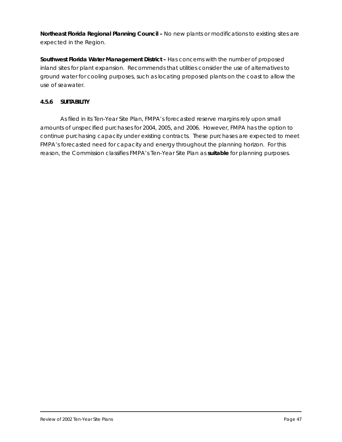*Northeast Florida Regional Planning Council –* No new plants or modifications to existing sites are expected in the Region.

Southwest Florida Water Management District - Has concerns with the number of proposed inland sites for plant expansion. Recommends that utilities consider the use of alternatives to ground water for cooling purposes, such as locating proposed plants on the coast to allow the use of seawater.

#### *4.5.6 SUITABILITY*

As filed in its *Ten-Year Site Plan*, FMPA's forecasted reserve margins rely upon small amounts of unspecified purchases for 2004, 2005, and 2006. However, FMPA has the option to continue purchasing capacity under existing contracts. These purchases are expected to meet FMPA's forecasted need for capacity and energy throughout the planning horizon. For this reason, the Commission classifies FMPA's *Ten-Year Site Plan* as *suitable* for planning purposes.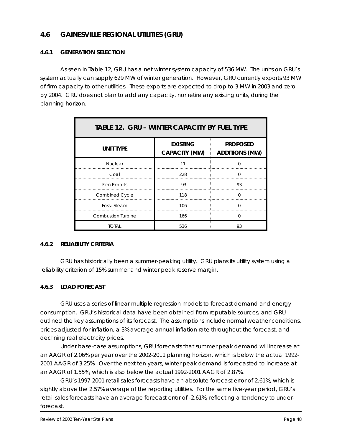# **4.6 GAINESVILLE REGIONAL UTILITIES (GRU)**

#### *4.6.1 GENERATION SELECTION*

As seen in Table 12, GRU has a net winter system capacity of 536 MW. The units on GRU's system actually can supply 629 MW of winter generation. However, GRU currently exports 93 MW of firm capacity to other utilities. These exports are expected to drop to 3 MW in 2003 and zero by 2004. GRU does not plan to add any capacity, nor retire any existing units, during the planning horizon.

| <b>TABLE 12. GRU - WINTER CAPACITY BY FUEL TYPE</b> |                                         |                                          |
|-----------------------------------------------------|-----------------------------------------|------------------------------------------|
| <b>UNIT TYPE</b>                                    | <b>EXISTING</b><br><b>CAPACITY (MW)</b> | <b>PROPOSED</b><br><b>ADDITIONS (MW)</b> |
| <b>Nuclear</b>                                      | 11                                      | $\Omega$                                 |
| Coal                                                | 228                                     | $\Omega$                                 |
| Firm Exports                                        | $-93$                                   | 93                                       |
| <b>Combined Cycle</b>                               | 118                                     | O                                        |
| <b>Fossil Steam</b>                                 | 106                                     | $\Omega$                                 |
| <b>Combustion Turbine</b>                           | 166                                     | $\Omega$                                 |
| TOTAL                                               | 536                                     | 93                                       |

#### *4.6.2 RELIABILITY CRITERIA*

GRU has historically been a summer-peaking utility. GRU plans its utility system using a reliability criterion of 15% summer and winter peak reserve margin.

#### *4.6.3 LOAD FORECAST*

GRU uses a series of linear multiple regression models to forecast demand and energy consumption. GRU's historical data have been obtained from reputable sources, and GRU outlined the key assumptions of its forecast. The assumptions include normal weather conditions, prices adjusted for inflation, a 3% average annual inflation rate throughout the forecast, and declining real electricity prices.

Under base-case assumptions, GRU forecasts that summer peak demand will increase at an AAGR of 2.06% per year over the 2002-2011 planning horizon, which is below the actual 1992- 2001 AAGR of 3.25%. Over the next ten years, winter peak demand is forecasted to increase at an AAGR of 1.55%, which is also below the actual 1992-2001 AAGR of 2.87%.

GRU's 1997-2001 retail sales forecasts have an absolute forecast error of 2.61%, which is slightly above the 2.57% average of the reporting utilities. For the same five-year period, GRU's retail sales forecasts have an average forecast error of -2.61%, reflecting a tendency to underforecast.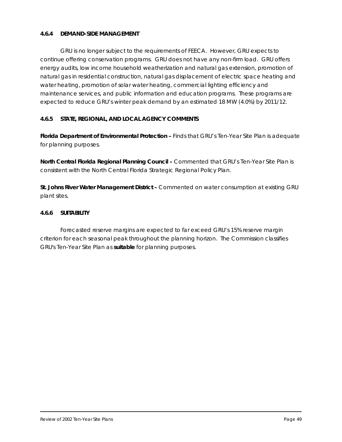#### *4.6.4 DEMAND-SIDE MANAGEMENT*

GRU is no longer subject to the requirements of FEECA. However, GRU expects to continue offering conservation programs. GRU does not have any non-firm load. GRU offers energy audits, low income household weatherization and natural gas extension, promotion of natural gas in residential construction, natural gas displacement of electric space heating and water heating, promotion of solar water heating, commercial lighting efficiency and maintenance services, and public information and education programs. These programs are expected to reduce GRU's winter peak demand by an estimated 18 MW (4.0%) by 2011/12.

#### *4.6.5 STATE, REGIONAL, AND LOCAL AGENCY COMMENTS*

*Florida Department of Environmental Protection –* Finds that GRU's *Ten-Year Site Plan* is adequate for planning purposes.

*North Central Florida Regional Planning Council –* Commented that GRU's *Ten-Year Site Plan* is consistent with the North Central Florida Strategic Regional Policy Plan.

*St. Johns River Water Management District –* Commented on water consumption at existing GRU plant sites.

#### *4.6.6 SUITABILITY*

Forecasted reserve margins are expected to far exceed GRU's 15% reserve margin criterion for each seasonal peak throughout the planning horizon. The Commission classifies GRU's *Ten-Year Site Plan* as *suitable* for planning purposes.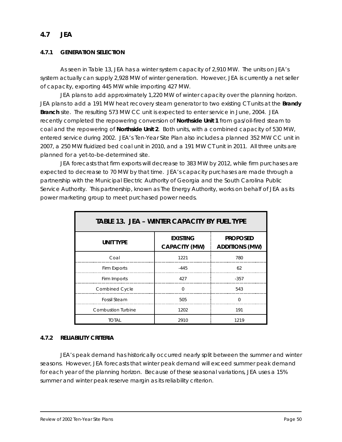# **4.7 JEA**

#### *4.7.1 GENERATION SELECTION*

As seen in Table 13, JEA has a winter system capacity of 2,910 MW. The units on JEA's system actually can supply 2,928 MW of winter generation. However, JEA is currently a net seller of capacity, exporting 445 MW while importing 427 MW.

JEA plans to add approximately 1,220 MW of winter capacity over the planning horizon. JEA plans to add a 191 MW heat recovery steam generator to two existing CT units at the **Brandy Branch** site. The resulting 573 MW CC unit is expected to enter service in June, 2004. JEA recently completed the repowering conversion of **Northside Unit 1** from gas/oil-fired steam to coal and the repowering of **Northside Unit 2**. Both units, with a combined capacity of 530 MW, entered service during 2002. JEA's *Ten-Year Site Plan* also includes a planned 352 MW CC unit in 2007, a 250 MW fluidized bed coal unit in 2010, and a 191 MW CT unit in 2011. All three units are planned for a yet-to-be-determined site.

JEA forecasts that firm exports will decrease to 383 MW by 2012, while firm purchases are expected to decrease to 70 MW by that time. JEA's capacity purchases are made through a partnership with the Municipal Electric Authority of Georgia and the South Carolina Public Service Authority. This partnership, known as The Energy Authority, works on behalf of JEA as its power marketing group to meet purchased power needs.

| <b>TABLE 13. JEA – WINTER CAPACITY BY FUEL TYPE</b> |                                         |                                          |
|-----------------------------------------------------|-----------------------------------------|------------------------------------------|
| <b>UNIT TYPE</b>                                    | <b>EXISTING</b><br><b>CAPACITY (MW)</b> | <b>PROPOSED</b><br><b>ADDITIONS (MW)</b> |
| Coal                                                | 1221                                    | 780                                      |
| <b>Firm Exports</b>                                 | $-445$                                  | 62                                       |
| Firm Imports                                        | 427                                     | $-357$                                   |
| <b>Combined Cycle</b>                               | $\Omega$                                | 543                                      |
| <b>Fossil Steam</b>                                 | 505                                     | $\Omega$                                 |
| <b>Combustion Turbine</b>                           | 1202                                    | 191                                      |
| total                                               | 2910                                    | 1219                                     |

#### *4.7.2 RELIABILITY CRITERIA*

JEA's peak demand has historically occurred nearly split between the summer and winter seasons. However, JEA forecasts that winter peak demand will exceed summer peak demand for each year of the planning horizon. Because of these seasonal variations, JEA uses a 15% summer and winter peak reserve margin as its reliability criterion.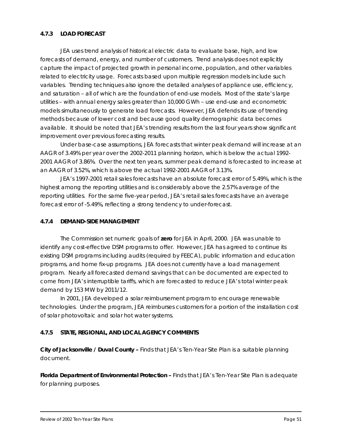#### *4.7.3 LOAD FORECAST*

JEA uses trend analysis of historical electric data to evaluate base, high, and low forecasts of demand, energy, and number of customers. Trend analysis does not explicitly capture the impact of projected growth in personal income, population, and other variables related to electricity usage. Forecasts based upon multiple regression models include such variables. Trending techniques also ignore the detailed analyses of appliance use, efficiency, and saturation – all of which are the foundation of end-use models. Most of the state's large utilities – with annual energy sales greater than 10,000 GWh – use end-use and econometric models simultaneously to generate load forecasts. However, JEA defends its use of trending methods because of lower cost and because good quality demographic data becomes available. It should be noted that JEA's trending results from the last four years show significant improvement over previous forecasting results.

Under base-case assumptions, JEA forecasts that winter peak demand will increase at an AAGR of 3.49% per year over the 2002-2011 planning horizon, which is below the actual 1992- 2001 AAGR of 3.86%. Over the next ten years, summer peak demand is forecasted to increase at an AAGR of 3.52%, which is above the actual 1992-2001 AAGR of 3.13%.

JEA's 1997-2001 retail sales forecasts have an absolute forecast error of 5.49%, which is the highest among the reporting utilities and is considerably above the 2.57% average of the reporting utilities. For the same five-year period, JEA's retail sales forecasts have an average forecast error of -5.49%, reflecting a strong tendency to under-forecast.

#### *4.7.4 DEMAND-SIDE MANAGEMENT*

The Commission set numeric goals of **zero** for JEA in April, 2000. JEA was unable to identify any cost-effective DSM programs to offer. However, JEA has agreed to continue its existing DSM programs including audits (required by FEECA), public information and education programs, and home fix-up programs. JEA does not currently have a load management program. Nearly all forecasted demand savings that can be documented are expected to come from JEA's interruptible tariffs, which are forecasted to reduce JEA's total winter peak demand by 153 MW by 2011/12.

In 2001, JEA developed a solar reimbursement program to encourage renewable technologies. Under the program, JEA reimburses customers for a portion of the installation cost of solar photovoltaic and solar hot water systems.

#### *4.7.5 STATE, REGIONAL, AND LOCAL AGENCY COMMENTS*

*City of Jacksonville / Duval County –* Finds that JEA's *Ten-Year Site Plan* is a suitable planning document.

**Florida Department of Environmental Protection – Finds that JEA's** *Ten-Year Site Plan* **is adequate** for planning purposes.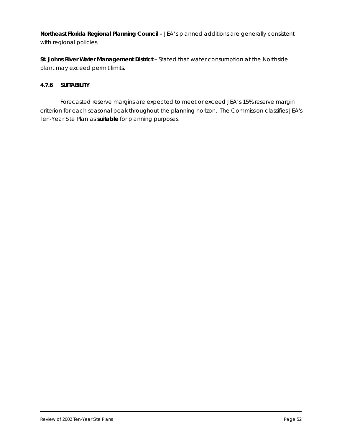*Northeast Florida Regional Planning Council - JEA's planned additions are generally consistent* with regional policies.

*St. Johns River Water Management District –* Stated that water consumption at the Northside plant may exceed permit limits.

#### *4.7.6 SUITABILITY*

Forecasted reserve margins are expected to meet or exceed JEA's 15% reserve margin criterion for each seasonal peak throughout the planning horizon. The Commission classifies JEA's *Ten-Year Site Plan* as *suitable* for planning purposes.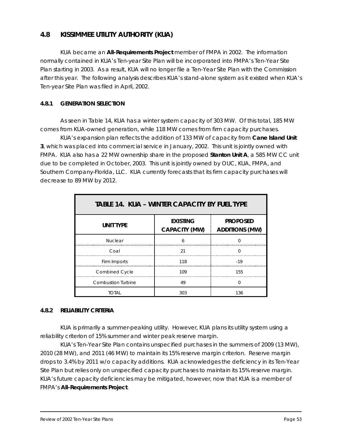# **4.8 KISSIMMEE UTILITY AUTHORITY (KUA)**

KUA became an **All-Requirements Project** member of FMPA in 2002. The information normally contained in KUA's *Ten-year Site Plan* will be incorporated into FMPA's *Ten-Year Site Plan* starting in 2003. As a result, KUA will no longer file a *Ten-Year Site Plan* with the Commission after this year. The following analysis describes KUA's stand-alone system as it existed when KUA's *Ten-year Site Plan* was filed in April, 2002.

#### *4.8.1 GENERATION SELECTION*

As seen in Table 14, KUA has a winter system capacity of 303 MW. Of this total, 185 MW comes from KUA-owned generation, while 118 MW comes from firm capacity purchases.

KUA's expansion plan reflects the addition of 133 MW of capacity from **Cane Island Unit 3**, which was placed into commercial service in January, 2002. This unit is jointly owned with FMPA. KUA also has a 22 MW ownership share in the proposed **Stanton Unit A**, a 585 MW CC unit due to be completed in October, 2003. This unit is jointly owned by OUC, KUA, FMPA, and Southern Company-Florida, LLC. KUA currently forecasts that its firm capacity purchases will decrease to 89 MW by 2012.

| <b>TABLE 14. KUA – WINTER CAPACITY BY FUEL TYPE</b> |                                         |                                          |
|-----------------------------------------------------|-----------------------------------------|------------------------------------------|
| <b>UNIT TYPE</b>                                    | <b>EXISTING</b><br><b>CAPACITY (MW)</b> | <b>PROPOSED</b><br><b>ADDITIONS (MW)</b> |
| <b>Nuclear</b>                                      | 6                                       | $\Omega$                                 |
| Coal                                                | 21                                      | U                                        |
| Firm Imports                                        | 118                                     | $-19$                                    |
| Combined Cycle                                      | 109                                     | 155                                      |
| <b>Combustion Turbine</b>                           | 49                                      | O                                        |
| TOTAL                                               | 303                                     | 136                                      |

#### *4.8.2 RELIABILITY CRITERIA*

KUA is primarily a summer-peaking utility. However, KUA plans its utility system using a reliability criterion of 15% summer and winter peak reserve margin.

KUA's *Ten-Year Site Plan* contains unspecified purchases in the summers of 2009 (13 MW), 2010 (28 MW), and 2011 (46 MW) to maintain its 15% reserve margin criterion. Reserve margin drops to 3.4% by 2011 w/o capacity additions. KUA acknowledges the deficiency in its *Ten-Year Site Plan* but relies only on unspecified capacity purchases to maintain its 15% reserve margin. KUA's future capacity deficiencies may be mitigated, however, now that KUA is a member of FMPA's **All-Requirements Project**.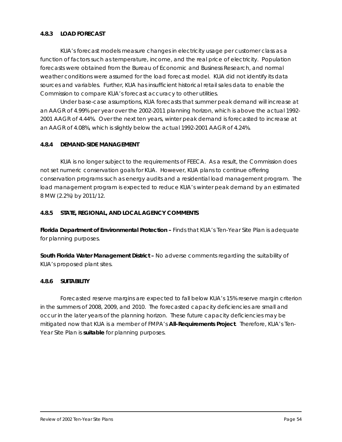#### *4.8.3 LOAD FORECAST*

KUA's forecast models measure changes in electricity usage per customer class as a function of factors such as temperature, income, and the real price of electricity. Population forecasts were obtained from the Bureau of Economic and Business Research, and normal weather conditions were assumed for the load forecast model. KUA did not identify its data sources and variables. Further, KUA has insufficient historical retail sales data to enable the Commission to compare KUA's forecast accuracy to other utilities.

Under base-case assumptions, KUA forecasts that summer peak demand will increase at an AAGR of 4.99% per year over the 2002-2011 planning horizon, which is above the actual 1992- 2001 AAGR of 4.44%. Over the next ten years, winter peak demand is forecasted to increase at an AAGR of 4.08%, which is slightly below the actual 1992-2001 AAGR of 4.24%.

#### *4.8.4 DEMAND-SIDE MANAGEMENT*

KUA is no longer subject to the requirements of FEECA. As a result, the Commission does not set numeric conservation goals for KUA. However, KUA plans to continue offering conservation programs such as energy audits and a residential load management program. The load management program is expected to reduce KUA's winter peak demand by an estimated 8 MW (2.2%) by 2011/12.

#### *4.8.5 STATE, REGIONAL, AND LOCAL AGENCY COMMENTS*

*Florida Department of Environmental Protection –* Finds that KUA's *Ten-Year Site Plan* is adequate for planning purposes.

*South Florida Water Management District –* No adverse comments regarding the suitability of KUA's proposed plant sites.

#### *4.8.6 SUITABILITY*

Forecasted reserve margins are expected to fall below KUA's 15% reserve margin criterion in the summers of 2008, 2009, and 2010. The forecasted capacity deficiencies are small and occur in the later years of the planning horizon. These future capacity deficiencies may be mitigated now that KUA is a member of FMPA's **All-Requirements Project**. Therefore, KUA's *Ten-Year Site Plan* is *suitable* for planning purposes.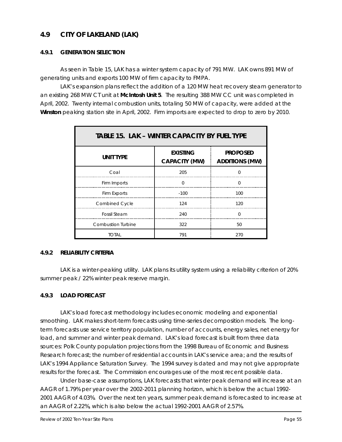# **4.9 CITY OF LAKELAND (LAK)**

#### *4.9.1 GENERATION SELECTION*

As seen in Table 15, LAK has a winter system capacity of 791 MW. LAK owns 891 MW of generating units and exports 100 MW of firm capacity to FMPA.

LAK's expansion plans reflect the addition of a 120 MW heat recovery steam generator to an existing 268 MW CT unit at **McIntosh Unit 5**. The resulting 388 MW CC unit was completed in April, 2002. Twenty internal combustion units, totaling 50 MW of capacity, were added at the **Winston** peaking station site in April, 2002. Firm imports are expected to drop to zero by 2010.

| <b>TABLE 15. LAK – WINTER CAPACITY BY FUEL TYPE</b> |                                         |                                          |
|-----------------------------------------------------|-----------------------------------------|------------------------------------------|
| <b>UNIT TYPE</b>                                    | <b>EXISTING</b><br><b>CAPACITY (MW)</b> | <b>PROPOSED</b><br><b>ADDITIONS (MW)</b> |
| Coal                                                | 205                                     | ∩                                        |
| Firm Imports                                        | <sup>0</sup>                            | <sup>n</sup>                             |
| Firm Exports                                        | $-100$                                  | 100                                      |
| <b>Combined Cycle</b>                               | 124                                     | 120                                      |
| <b>Fossil Steam</b>                                 | 240                                     | <sup>n</sup>                             |
| <b>Combustion Turbine</b>                           | 322                                     | 50                                       |
| Total                                               | 791                                     | 270                                      |

#### *4.9.2 RELIABILITY CRITERIA*

LAK is a winter-peaking utility. LAK plans its utility system using a reliability criterion of 20% summer peak / 22% winter peak reserve margin.

#### *4.9.3 LOAD FORECAST*

LAK's load forecast methodology includes economic modeling and exponential smoothing. LAK makes short-term forecasts using time-series decomposition models. The longterm forecasts use service territory population, number of accounts, energy sales, net energy for load, and summer and winter peak demand. LAK's load forecast is built from three data sources: Polk County population projections from the 1998 Bureau of Economic and Business Research forecast; the number of residential accounts in LAK's service area; and the results of LAK's 1994 Appliance Saturation Survey. The 1994 survey is dated and may not give appropriate results for the forecast. The Commission encourages use of the most recent possible data.

Under base-case assumptions, LAK forecasts that winter peak demand will increase at an AAGR of 1.79% per year over the 2002-2011 planning horizon, which is below the actual 1992- 2001 AAGR of 4.03%. Over the next ten years, summer peak demand is forecasted to increase at an AAGR of 2.22%, which is also below the actual 1992-2001 AAGR of 2.57%.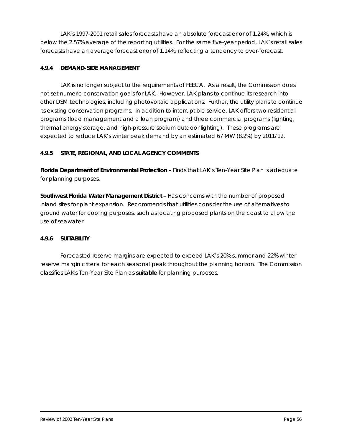LAK's 1997-2001 retail sales forecasts have an absolute forecast error of 1.24%, which is below the 2.57% average of the reporting utilities. For the same five-year period, LAK's retail sales forecasts have an average forecast error of 1.14%, reflecting a tendency to over-forecast.

#### *4.9.4 DEMAND-SIDE MANAGEMENT*

LAK is no longer subject to the requirements of FEECA. As a result, the Commission does not set numeric conservation goals for LAK. However, LAK plans to continue its research into other DSM technologies, including photovoltaic applications. Further, the utility plans to continue its existing conservation programs. In addition to interruptible service, LAK offers two residential programs (load management and a loan program) and three commercial programs (lighting, thermal energy storage, and high-pressure sodium outdoor lighting). These programs are expected to reduce LAK's winter peak demand by an estimated 67 MW (8.2%) by 2011/12.

#### *4.9.5 STATE, REGIONAL, AND LOCAL AGENCY COMMENTS*

*Florida Department of Environmental Protection –* Finds that LAK's *Ten-Year Site Plan* is adequate for planning purposes.

*Southwest Florida Water Management District –* Has concerns with the number of proposed inland sites for plant expansion. Recommends that utilities consider the use of alternatives to ground water for cooling purposes, such as locating proposed plants on the coast to allow the use of seawater.

#### *4.9.6 SUITABILITY*

Forecasted reserve margins are expected to exceed LAK's 20% summer and 22% winter reserve margin criteria for each seasonal peak throughout the planning horizon. The Commission classifies LAK's *Ten-Year Site Plan* as *suitable* for planning purposes.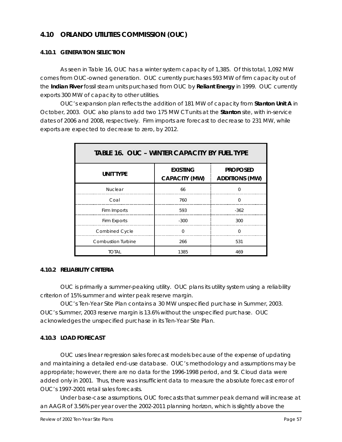# **4.10 ORLANDO UTILITIES COMMISSION (OUC)**

#### *4.10.1 GENERATION SELECTION*

As seen in Table 16, OUC has a winter system capacity of 1,385. Of this total, 1,092 MW comes from OUC-owned generation. OUC currently purchases 593 MW of firm capacity out of the **Indian River** fossil steam units purchased from OUC by **Reliant Energy** in 1999. OUC currently exports 300 MW of capacity to other utilities.

OUC's expansion plan reflects the addition of 181 MW of capacity from **Stanton Unit A** in October, 2003. OUC also plans to add two 175 MW CT units at the **Stanton** site, with in-service dates of 2006 and 2008, respectively. Firm imports are forecast to decrease to 231 MW, while exports are expected to decrease to zero, by 2012.

| <b>TABLE 16. OUC - WINTER CAPACITY BY FUEL TYPE</b> |                                         |                                          |
|-----------------------------------------------------|-----------------------------------------|------------------------------------------|
| <b>UNIT TYPE</b>                                    | <b>EXISTING</b><br><b>CAPACITY (MW)</b> | <b>PROPOSED</b><br><b>ADDITIONS (MW)</b> |
| <b>Nuclear</b>                                      | 66                                      | $\Omega$                                 |
| Coal                                                | 760                                     | ∩                                        |
| Firm Imports                                        | 593                                     | $-362$                                   |
| Firm Exports                                        | $-300$                                  | 300                                      |
| Combined Cycle                                      | $\Omega$                                | $\Omega$                                 |
| <b>Combustion Turbine</b>                           | 266                                     | 531                                      |
| TOTAL                                               | 1385                                    | 469                                      |

#### *4.10.2 RELIABILITY CRITERIA*

OUC is primarily a summer-peaking utility. OUC plans its utility system using a reliability criterion of 15% summer and winter peak reserve margin.

OUC's *Ten-Year Site Plan* contains a 30 MW unspecified purchase in Summer, 2003. OUC's Summer, 2003 reserve margin is 13.6% without the unspecified purchase. OUC acknowledges the unspecified purchase in its *Ten-Year Site Plan*.

#### *4.10.3 LOAD FORECAST*

OUC uses linear regression sales forecast models because of the expense of updating and maintaining a detailed end-use database. OUC's methodology and assumptions may be appropriate; however, there are no data for the 1996-1998 period, and St. Cloud data were added only in 2001. Thus, there was insufficient data to measure the absolute forecast error of OUC's 1997-2001 retail sales forecasts.

Under base-case assumptions, OUC forecasts that summer peak demand will increase at an AAGR of 3.56% per year over the 2002-2011 planning horizon, which is slightly above the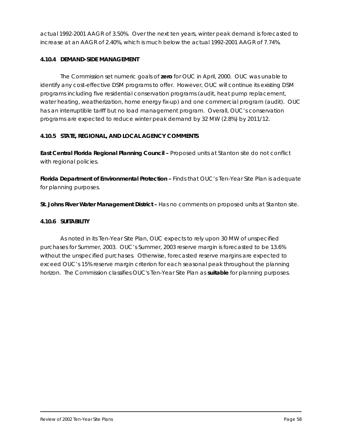actual 1992-2001 AAGR of 3.50%. Over the next ten years, winter peak demand is forecasted to increase at an AAGR of 2.40%, which is much below the actual 1992-2001 AAGR of 7.74%.

#### *4.10.4 DEMAND-SIDE MANAGEMENT*

The Commission set numeric goals of **zero** for OUC in April, 2000. OUC was unable to identify any cost-effective DSM programs to offer. However, OUC will continue its existing DSM programs including five residential conservation programs (audit, heat pump replacement, water heating, weatherization, home energy fix-up) and one commercial program (audit). OUC has an interruptible tariff but no load management program. Overall, OUC's conservation programs are expected to reduce winter peak demand by 32 MW (2.8%) by 2011/12.

#### *4.10.5 STATE, REGIONAL, AND LOCAL AGENCY COMMENTS*

*East Central Florida Regional Planning Council –* Proposed units at Stanton site do not conflict with regional policies.

*Florida Department of Environmental Protection –* Finds that OUC's *Ten-Year Site Plan* is adequate for planning purposes.

*St. Johns River Water Management District –* Has no comments on proposed units at Stanton site.

#### **4.10.6 SUITABILITY**

As noted in its Ten-Year Site Plan, OUC expects to rely upon 30 MW of unspecified purchases for Summer, 2003. OUC's Summer, 2003 reserve margin is forecasted to be 13.6% without the unspecified purchases. Otherwise, forecasted reserve margins are expected to exceed OUC's 15% reserve margin criterion for each seasonal peak throughout the planning horizon. The Commission classifies OUC's *Ten-Year Site Plan* as *suitable* for planning purposes.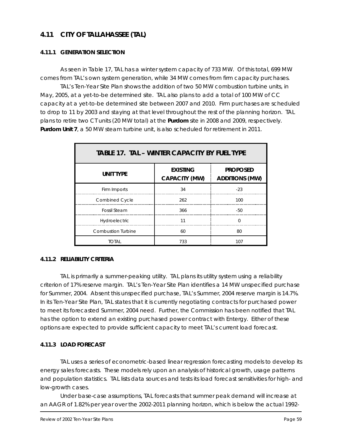# **4.11 CITY OF TALLAHASSEE (TAL)**

#### *4.11.1 GENERATION SELECTION*

As seen in Table 17, TAL has a winter system capacity of 733 MW. Of this total, 699 MW comes from TAL's own system generation, while 34 MW comes from firm capacity purchases.

TAL's *Ten-Year Site Plan* shows the addition of two 50 MW combustion turbine units, in May, 2005, at a yet-to-be determined site. TAL also plans to add a total of 100 MW of CC capacity at a yet-to-be determined site between 2007 and 2010. Firm purchases are scheduled to drop to 11 by 2003 and staying at that level throughout the rest of the planning horizon. TAL plans to retire two CT units (20 MW total) at the **Purdom** site in 2008 and 2009, respectively. **Purdom Unit 7**, a 50 MW steam turbine unit, is also scheduled for retirement in 2011.

| <b>TABLE 17. TAL - WINTER CAPACITY BY FUEL TYPE</b> |                                         |                                          |
|-----------------------------------------------------|-----------------------------------------|------------------------------------------|
| <b>UNIT TYPE</b>                                    | <b>EXISTING</b><br><b>CAPACITY (MW)</b> | <b>PROPOSED</b><br><b>ADDITIONS (MW)</b> |
| Firm Imports                                        | 34                                      | $-23$                                    |
| <b>Combined Cycle</b>                               | 262                                     | 100                                      |
| <b>Fossil Steam</b>                                 | 366                                     | -50                                      |
| Hydroelectric                                       | 11                                      | $\Omega$                                 |
| <b>Combustion Turbine</b>                           | 60                                      | 80                                       |
| <b>TOTAL</b>                                        | 733                                     | 107                                      |

#### *4.11.2 RELIABILITY CRITERIA*

TAL is primarily a summer-peaking utility. TAL plans its utility system using a reliability criterion of 17% reserve margin. TAL's *Ten-Year Site Plan* identifies a 14 MW unspecified purchase for Summer, 2004. Absent this unspecified purchase, TAL's Summer, 2004 reserve margin is 14.7%. In its *Ten-Year Site Plan*, TAL states that it is currently negotiating contracts for purchased power to meet its forecasted Summer, 2004 need. Further, the Commission has been notified that TAL has the option to extend an existing purchased power contract with Entergy. Either of these options are expected to provide sufficient capacity to meet TAL's current load forecast.

#### *4.11.3 LOAD FORECAST*

TAL uses a series of econometric-based linear regression forecasting models to develop its energy sales forecasts. These models rely upon an analysis of historical growth, usage patterns and population statistics. TAL lists data sources and tests its load forecast sensitivities for high- and low-growth cases.

Under base-case assumptions, TAL forecasts that summer peak demand will increase at an AAGR of 1.82% per year over the 2002-2011 planning horizon, which is below the actual 1992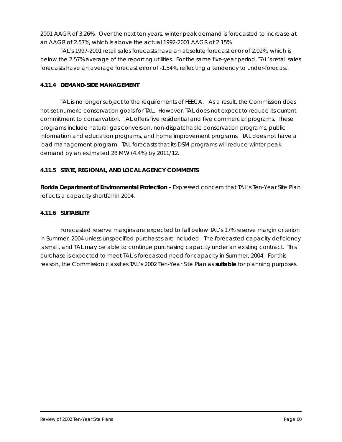2001 AAGR of 3.26%. Over the next ten years, winter peak demand is forecasted to increase at an AAGR of 2.57%, which is above the actual 1992-2001 AAGR of 2.15%.

TAL's 1997-2001 retail sales forecasts have an absolute forecast error of 2.02%, which is below the 2.57% average of the reporting utilities. For the same five-year period, TAL's retail sales forecasts have an average forecast error of -1.54%, reflecting a tendency to under-forecast.

#### *4.11.4 DEMAND-SIDE MANAGEMENT*

TAL is no longer subject to the requirements of FEECA. As a result, the Commission does not set numeric conservation goals for TAL. However, TAL does not expect to reduce its current commitment to conservation. TAL offers five residential and five commercial programs. These programs include natural gas conversion, non-dispatchable conservation programs, public information and education programs, and home improvement programs. TAL does not have a load management program. TAL forecasts that its DSM programs will reduce winter peak demand by an estimated 28 MW (4.4%) by 2011/12.

#### *4.11.5 STATE, REGIONAL, AND LOCAL AGENCY COMMENTS*

*Florida Department of Environmental Protection –* Expressed concern that TAL's *Ten-Year Site Plan* reflects a capacity shortfall in 2004.

#### *4.11.6 SUITABILITY*

Forecasted reserve margins are expected to fall below TAL's 17% reserve margin criterion in Summer, 2004 unless unspecified purchases are included. The forecasted capacity deficiency is small, and TAL may be able to continue purchasing capacity under an existing contract. This purchase is expected to meet TAL's forecasted need for capacity in Summer, 2004. For this reason, the Commission classifies TAL's 2002 *Ten-Year Site Plan* as *suitable* for planning purposes.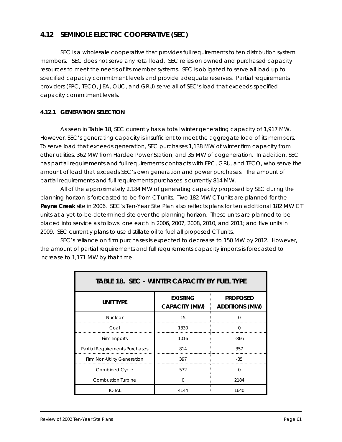# **4.12 SEMINOLE ELECTRIC COOPERATIVE (SEC)**

SEC is a wholesale cooperative that provides full requirements to ten distribution system members. SEC does not serve any retail load. SEC relies on owned and purchased capacity resources to meet the needs of its member systems. SEC is obligated to serve all load up to specified capacity commitment levels and provide adequate reserves. Partial requirements providers (FPC, TECO, JEA, OUC, and GRU) serve all of SEC's load that exceeds specified capacity commitment levels.

#### *4.12.1 GENERATION SELECTION*

As seen in Table 18, SEC currently has a total winter generating capacity of 1,917 MW. However, SEC's generating capacity is insufficient to meet the aggregate load of its members. To serve load that exceeds generation, SEC purchases 1,138 MW of winter firm capacity from other utilities, 362 MW from Hardee Power Station, and 35 MW of cogeneration. In addition, SEC has partial requirements and full requirements contracts with FPC, GRU, and TECO, who serve the amount of load that exceeds SEC's own generation and power purchases. The amount of partial requirements and full requirements purchases is currently 814 MW.

All of the approximately 2,184 MW of generating capacity proposed by SEC during the planning horizon is forecasted to be from CT units. Two 182 MW CT units are planned for the **Payne Creek** site in 2006. SEC's *Ten-Year Site Plan* also reflects plans for ten additional 182 MW CT units at a yet-to-be-determined site over the planning horizon. These units are planned to be placed into service as follows: one each in 2006, 2007, 2008, 2010, and 2011; and five units in 2009. SEC currently plans to use distillate oil to fuel all proposed CT units.

SEC's reliance on firm purchases is expected to decrease to 150 MW by 2012. However, the amount of partial requirements and full requirements capacity imports is forecasted to increase to 1,171 MW by that time.

| <b>TABLE 18. SEC - WINTER CAPACITY BY FUEL TYPE</b> |                                         |                                          |
|-----------------------------------------------------|-----------------------------------------|------------------------------------------|
| <b>UNIT TYPE</b>                                    | <b>EXISTING</b><br><b>CAPACITY (MW)</b> | <b>PROPOSED</b><br><b>ADDITIONS (MW)</b> |
| <b>Nuclear</b>                                      | 15                                      | O                                        |
| Coal                                                | 1330                                    | $\Omega$                                 |
| Firm Imports                                        | 1016                                    | $-866$                                   |
| <b>Partial Requirements Purchases</b>               | 814                                     | 357                                      |
| Firm Non-Utility Generation                         | 397                                     | $-35$                                    |
| <b>Combined Cycle</b>                               | 572                                     | O                                        |
| <b>Combustion Turbine</b>                           | $\Omega$                                | 2184                                     |
| total                                               | 4144                                    | 1640                                     |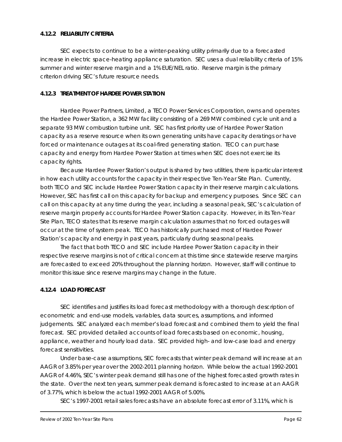#### *4.12.2 RELIABILITY CRITERIA*

SEC expects to continue to be a winter-peaking utility primarily due to a forecasted increase in electric space-heating appliance saturation. SEC uses a dual reliability criteria of 15% summer and winter reserve margin and a 1% EUE/NEL ratio. Reserve margin is the primary criterion driving SEC's future resource needs.

#### *4.12.3 TREATMENT OF HARDEE POWER STATION*

Hardee Power Partners, Limited, a TECO Power Services Corporation, owns and operates the Hardee Power Station, a 362 MW facility consisting of a 269 MW combined cycle unit and a separate 93 MW combustion turbine unit. SEC has first priority use of Hardee Power Station capacity as a reserve resource when its own generating units have capacity deratings or have forced or maintenance outages at its coal-fired generating station. TECO can purchase capacity and energy from Hardee Power Station at times when SEC does not exercise its capacity rights.

Because Hardee Power Station's output is shared by two utilities, there is particular interest in how each utility accounts for the capacity in their respective *Ten-Year Site Plan*. Currently, both TECO and SEC include Hardee Power Station capacity in their reserve margin calculations. However, SEC has first call on this capacity for backup and emergency purposes. Since SEC can call on this capacity at any time during the year, including a seasonal peak, SEC's calculation of reserve margin properly accounts for Hardee Power Station capacity. However, in its *Ten-Year Site Plan*, TECO states that its reserve margin calculation assumes that no forced outages will occur at the time of system peak. TECO has historically purchased most of Hardee Power Station's capacity and energy in past years, particularly during seasonal peaks.

The fact that both TECO and SEC include Hardee Power Station capacity in their respective reserve margins is not of critical concern at this time since statewide reserve margins are forecasted to exceed 20% throughout the planning horizon. However, staff will continue to monitor this issue since reserve margins may change in the future.

#### *4.12.4 LOAD FORECAST*

SEC identifies and justifies its load forecast methodology with a thorough description of econometric and end-use models, variables, data sources, assumptions, and informed judgements. SEC analyzed each member's load forecast and combined them to yield the final forecast. SEC provided detailed accounts of load forecasts based on economic, housing, appliance, weather and hourly load data. SEC provided high- and low-case load and energy forecast sensitivities.

Under base-case assumptions, SEC forecasts that winter peak demand will increase at an AAGR of 3.85% per year over the 2002-2011 planning horizon. While below the actual 1992-2001 AAGR of 4.46%, SEC's winter peak demand still has one of the highest forecasted growth rates in the state. Over the next ten years, summer peak demand is forecasted to increase at an AAGR of 3.77%, which is below the actual 1992-2001 AAGR of 5.00%.

SEC's 1997-2001 retail sales forecasts have an absolute forecast error of 3.11%, which is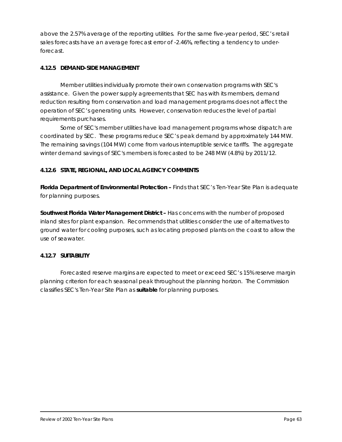above the 2.57% average of the reporting utilities. For the same five-year period, SEC's retail sales forecasts have an average forecast error of -2.46%, reflecting a tendency to underforecast.

#### *4.12.5 DEMAND-SIDE MANAGEMENT*

Member utilities individually promote their own conservation programs with SEC's assistance. Given the power supply agreements that SEC has with its members, demand reduction resulting from conservation and load management programs does not affect the operation of SEC's generating units. However, conservation reduces the level of partial requirements purchases.

Some of SEC's member utilities have load management programs whose dispatch are coordinated by SEC. These programs reduce SEC's peak demand by approximately 144 MW. The remaining savings (104 MW) come from various interruptible service tariffs. The aggregate winter demand savings of SEC's members is forecasted to be 248 MW (4.8%) by 2011/12.

#### *4.12.6 STATE, REGIONAL, AND LOCAL AGENCY COMMENTS*

**Florida Department of Environmental Protection – Finds that SEC's Ten-Year Site Plan is adequate** for planning purposes.

*Southwest Florida Water Management District –* Has concerns with the number of proposed inland sites for plant expansion. Recommends that utilities consider the use of alternatives to ground water for cooling purposes, such as locating proposed plants on the coast to allow the use of seawater.

#### *4.12.7 SUITABILITY*

Forecasted reserve margins are expected to meet or exceed SEC's 15% reserve margin planning criterion for each seasonal peak throughout the planning horizon. The Commission classifies SEC's *Ten-Year Site Plan* as *suitable* for planning purposes.